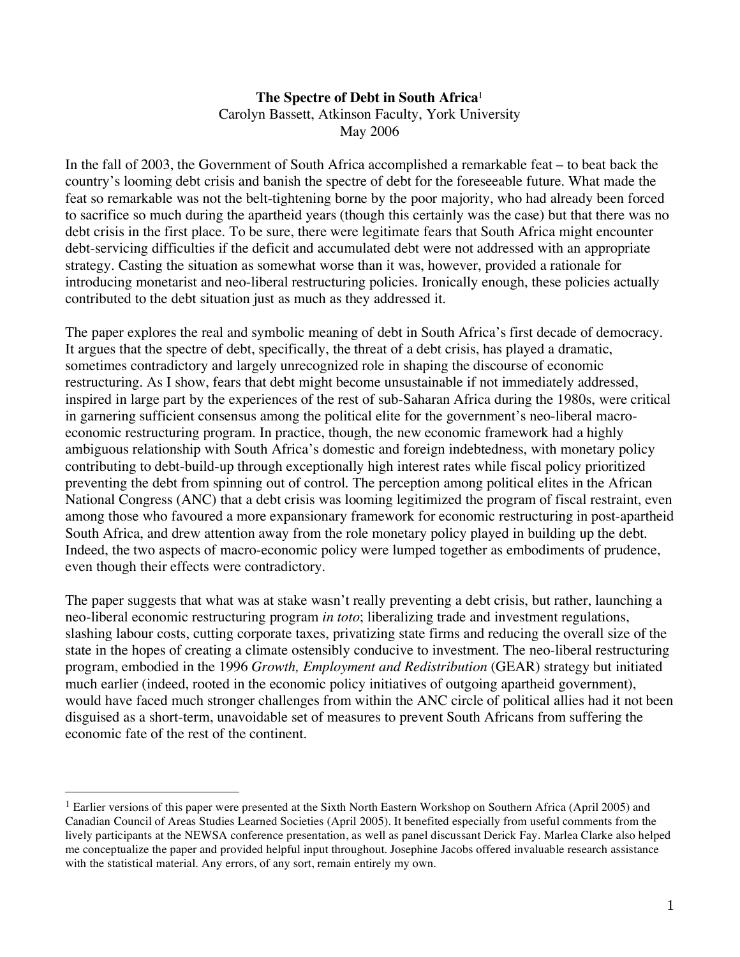## **The Spectre of Debt in South Africa**<sup>1</sup> Carolyn Bassett, Atkinson Faculty, York University May 2006

In the fall of 2003, the Government of South Africa accomplished a remarkable feat – to beat back the country's looming debt crisis and banish the spectre of debt for the foreseeable future. What made the feat so remarkable was not the belt-tightening borne by the poor majority, who had already been forced to sacrifice so much during the apartheid years (though this certainly was the case) but that there was no debt crisis in the first place. To be sure, there were legitimate fears that South Africa might encounter debt-servicing difficulties if the deficit and accumulated debt were not addressed with an appropriate strategy. Casting the situation as somewhat worse than it was, however, provided a rationale for introducing monetarist and neo-liberal restructuring policies. Ironically enough, these policies actually contributed to the debt situation just as much as they addressed it.

The paper explores the real and symbolic meaning of debt in South Africa's first decade of democracy. It argues that the spectre of debt, specifically, the threat of a debt crisis, has played a dramatic, sometimes contradictory and largely unrecognized role in shaping the discourse of economic restructuring. As I show, fears that debt might become unsustainable if not immediately addressed, inspired in large part by the experiences of the rest of sub-Saharan Africa during the 1980s, were critical in garnering sufficient consensus among the political elite for the government's neo-liberal macroeconomic restructuring program. In practice, though, the new economic framework had a highly ambiguous relationship with South Africa's domestic and foreign indebtedness, with monetary policy contributing to debt-build-up through exceptionally high interest rates while fiscal policy prioritized preventing the debt from spinning out of control. The perception among political elites in the African National Congress (ANC) that a debt crisis was looming legitimized the program of fiscal restraint, even among those who favoured a more expansionary framework for economic restructuring in post-apartheid South Africa, and drew attention away from the role monetary policy played in building up the debt. Indeed, the two aspects of macro-economic policy were lumped together as embodiments of prudence, even though their effects were contradictory.

The paper suggests that what was at stake wasn't really preventing a debt crisis, but rather, launching a neo-liberal economic restructuring program *in toto*; liberalizing trade and investment regulations, slashing labour costs, cutting corporate taxes, privatizing state firms and reducing the overall size of the state in the hopes of creating a climate ostensibly conducive to investment. The neo-liberal restructuring program, embodied in the 1996 *Growth, Employment and Redistribution* (GEAR) strategy but initiated much earlier (indeed, rooted in the economic policy initiatives of outgoing apartheid government), would have faced much stronger challenges from within the ANC circle of political allies had it not been disguised as a short-term, unavoidable set of measures to prevent South Africans from suffering the economic fate of the rest of the continent.

 $\overline{a}$ 

<sup>1</sup> Earlier versions of this paper were presented at the Sixth North Eastern Workshop on Southern Africa (April 2005) and Canadian Council of Areas Studies Learned Societies (April 2005). It benefited especially from useful comments from the lively participants at the NEWSA conference presentation, as well as panel discussant Derick Fay. Marlea Clarke also helped me conceptualize the paper and provided helpful input throughout. Josephine Jacobs offered invaluable research assistance with the statistical material. Any errors, of any sort, remain entirely my own.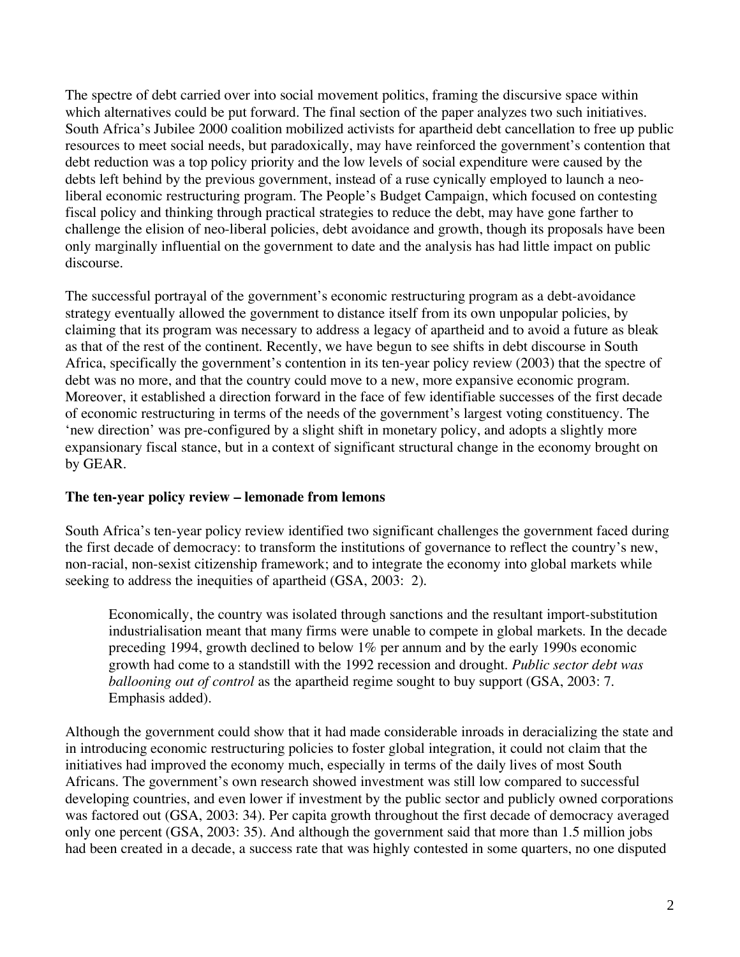The spectre of debt carried over into social movement politics, framing the discursive space within which alternatives could be put forward. The final section of the paper analyzes two such initiatives. South Africa's Jubilee 2000 coalition mobilized activists for apartheid debt cancellation to free up public resources to meet social needs, but paradoxically, may have reinforced the government's contention that debt reduction was a top policy priority and the low levels of social expenditure were caused by the debts left behind by the previous government, instead of a ruse cynically employed to launch a neoliberal economic restructuring program. The People's Budget Campaign, which focused on contesting fiscal policy and thinking through practical strategies to reduce the debt, may have gone farther to challenge the elision of neo-liberal policies, debt avoidance and growth, though its proposals have been only marginally influential on the government to date and the analysis has had little impact on public discourse.

The successful portrayal of the government's economic restructuring program as a debt-avoidance strategy eventually allowed the government to distance itself from its own unpopular policies, by claiming that its program was necessary to address a legacy of apartheid and to avoid a future as bleak as that of the rest of the continent. Recently, we have begun to see shifts in debt discourse in South Africa, specifically the government's contention in its ten-year policy review (2003) that the spectre of debt was no more, and that the country could move to a new, more expansive economic program. Moreover, it established a direction forward in the face of few identifiable successes of the first decade of economic restructuring in terms of the needs of the government's largest voting constituency. The 'new direction' was pre-configured by a slight shift in monetary policy, and adopts a slightly more expansionary fiscal stance, but in a context of significant structural change in the economy brought on by GEAR.

#### **The ten-year policy review – lemonade from lemons**

South Africa's ten-year policy review identified two significant challenges the government faced during the first decade of democracy: to transform the institutions of governance to reflect the country's new, non-racial, non-sexist citizenship framework; and to integrate the economy into global markets while seeking to address the inequities of apartheid (GSA, 2003: 2).

Economically, the country was isolated through sanctions and the resultant import-substitution industrialisation meant that many firms were unable to compete in global markets. In the decade preceding 1994, growth declined to below 1% per annum and by the early 1990s economic growth had come to a standstill with the 1992 recession and drought. *Public sector debt was ballooning out of control* as the apartheid regime sought to buy support (GSA, 2003: 7. Emphasis added).

Although the government could show that it had made considerable inroads in deracializing the state and in introducing economic restructuring policies to foster global integration, it could not claim that the initiatives had improved the economy much, especially in terms of the daily lives of most South Africans. The government's own research showed investment was still low compared to successful developing countries, and even lower if investment by the public sector and publicly owned corporations was factored out (GSA, 2003: 34). Per capita growth throughout the first decade of democracy averaged only one percent (GSA, 2003: 35). And although the government said that more than 1.5 million jobs had been created in a decade, a success rate that was highly contested in some quarters, no one disputed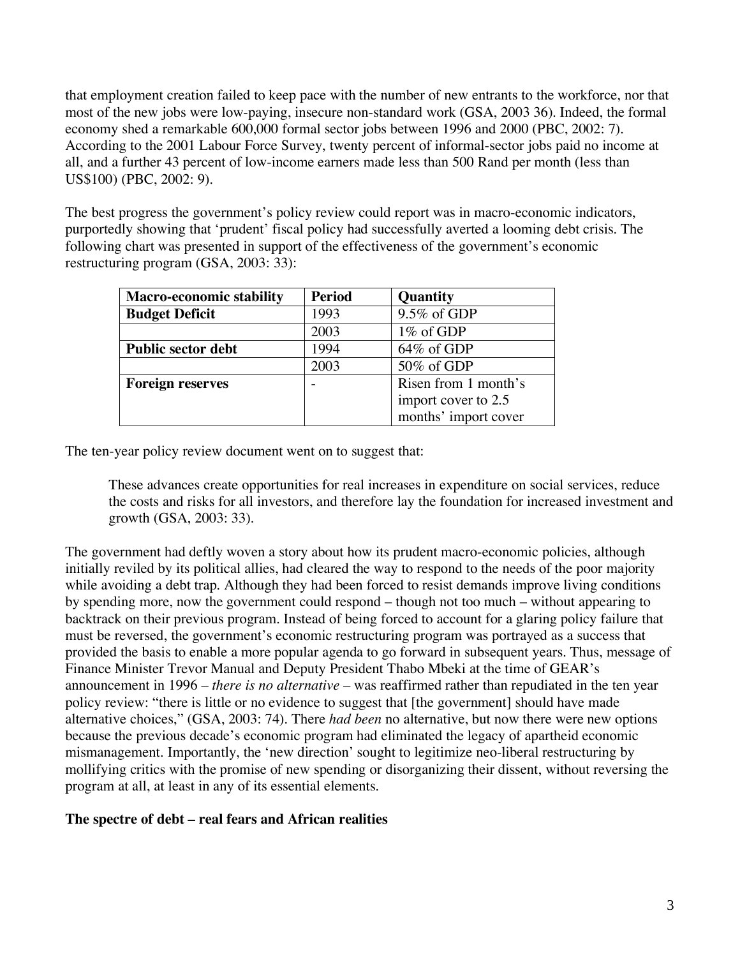that employment creation failed to keep pace with the number of new entrants to the workforce, nor that most of the new jobs were low-paying, insecure non-standard work (GSA, 2003 36). Indeed, the formal economy shed a remarkable 600,000 formal sector jobs between 1996 and 2000 (PBC, 2002: 7). According to the 2001 Labour Force Survey, twenty percent of informal-sector jobs paid no income at all, and a further 43 percent of low-income earners made less than 500 Rand per month (less than US\$100) (PBC, 2002: 9).

The best progress the government's policy review could report was in macro-economic indicators, purportedly showing that 'prudent' fiscal policy had successfully averted a looming debt crisis. The following chart was presented in support of the effectiveness of the government's economic restructuring program (GSA, 2003: 33):

| <b>Macro-economic stability</b> | <b>Period</b> | Quantity             |
|---------------------------------|---------------|----------------------|
| <b>Budget Deficit</b>           | 1993          | 9.5% of GDP          |
|                                 | 2003          | 1% of GDP            |
| <b>Public sector debt</b>       | 1994          | $64\%$ of GDP        |
|                                 | 2003          | 50% of GDP           |
| <b>Foreign reserves</b>         |               | Risen from 1 month's |
|                                 |               | import cover to 2.5  |
|                                 |               | months' import cover |

The ten-year policy review document went on to suggest that:

These advances create opportunities for real increases in expenditure on social services, reduce the costs and risks for all investors, and therefore lay the foundation for increased investment and growth (GSA, 2003: 33).

The government had deftly woven a story about how its prudent macro-economic policies, although initially reviled by its political allies, had cleared the way to respond to the needs of the poor majority while avoiding a debt trap. Although they had been forced to resist demands improve living conditions by spending more, now the government could respond – though not too much – without appearing to backtrack on their previous program. Instead of being forced to account for a glaring policy failure that must be reversed, the government's economic restructuring program was portrayed as a success that provided the basis to enable a more popular agenda to go forward in subsequent years. Thus, message of Finance Minister Trevor Manual and Deputy President Thabo Mbeki at the time of GEAR's announcement in 1996 – *there is no alternative* – was reaffirmed rather than repudiated in the ten year policy review: "there is little or no evidence to suggest that [the government] should have made alternative choices," (GSA, 2003: 74). There *had been* no alternative, but now there were new options because the previous decade's economic program had eliminated the legacy of apartheid economic mismanagement. Importantly, the 'new direction' sought to legitimize neo-liberal restructuring by mollifying critics with the promise of new spending or disorganizing their dissent, without reversing the program at all, at least in any of its essential elements.

#### **The spectre of debt – real fears and African realities**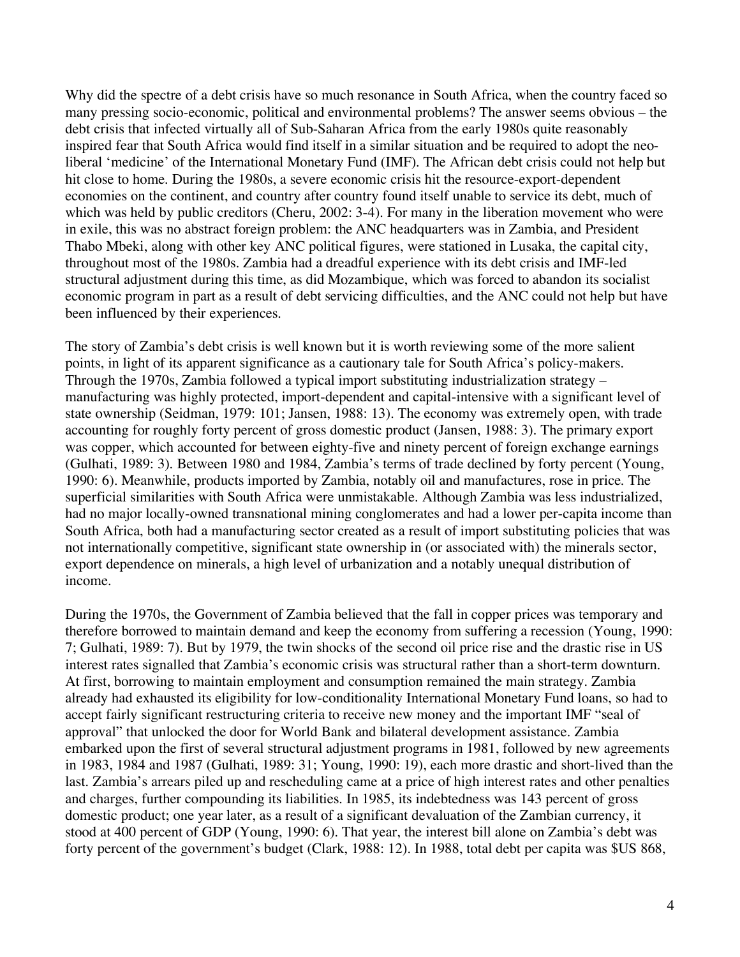Why did the spectre of a debt crisis have so much resonance in South Africa, when the country faced so many pressing socio-economic, political and environmental problems? The answer seems obvious – the debt crisis that infected virtually all of Sub-Saharan Africa from the early 1980s quite reasonably inspired fear that South Africa would find itself in a similar situation and be required to adopt the neoliberal 'medicine' of the International Monetary Fund (IMF). The African debt crisis could not help but hit close to home. During the 1980s, a severe economic crisis hit the resource-export-dependent economies on the continent, and country after country found itself unable to service its debt, much of which was held by public creditors (Cheru, 2002: 3-4). For many in the liberation movement who were in exile, this was no abstract foreign problem: the ANC headquarters was in Zambia, and President Thabo Mbeki, along with other key ANC political figures, were stationed in Lusaka, the capital city, throughout most of the 1980s. Zambia had a dreadful experience with its debt crisis and IMF-led structural adjustment during this time, as did Mozambique, which was forced to abandon its socialist economic program in part as a result of debt servicing difficulties, and the ANC could not help but have been influenced by their experiences.

The story of Zambia's debt crisis is well known but it is worth reviewing some of the more salient points, in light of its apparent significance as a cautionary tale for South Africa's policy-makers. Through the 1970s, Zambia followed a typical import substituting industrialization strategy – manufacturing was highly protected, import-dependent and capital-intensive with a significant level of state ownership (Seidman, 1979: 101; Jansen, 1988: 13). The economy was extremely open, with trade accounting for roughly forty percent of gross domestic product (Jansen, 1988: 3). The primary export was copper, which accounted for between eighty-five and ninety percent of foreign exchange earnings (Gulhati, 1989: 3). Between 1980 and 1984, Zambia's terms of trade declined by forty percent (Young, 1990: 6). Meanwhile, products imported by Zambia, notably oil and manufactures, rose in price. The superficial similarities with South Africa were unmistakable. Although Zambia was less industrialized, had no major locally-owned transnational mining conglomerates and had a lower per-capita income than South Africa, both had a manufacturing sector created as a result of import substituting policies that was not internationally competitive, significant state ownership in (or associated with) the minerals sector, export dependence on minerals, a high level of urbanization and a notably unequal distribution of income.

During the 1970s, the Government of Zambia believed that the fall in copper prices was temporary and therefore borrowed to maintain demand and keep the economy from suffering a recession (Young, 1990: 7; Gulhati, 1989: 7). But by 1979, the twin shocks of the second oil price rise and the drastic rise in US interest rates signalled that Zambia's economic crisis was structural rather than a short-term downturn. At first, borrowing to maintain employment and consumption remained the main strategy. Zambia already had exhausted its eligibility for low-conditionality International Monetary Fund loans, so had to accept fairly significant restructuring criteria to receive new money and the important IMF "seal of approval" that unlocked the door for World Bank and bilateral development assistance. Zambia embarked upon the first of several structural adjustment programs in 1981, followed by new agreements in 1983, 1984 and 1987 (Gulhati, 1989: 31; Young, 1990: 19), each more drastic and short-lived than the last. Zambia's arrears piled up and rescheduling came at a price of high interest rates and other penalties and charges, further compounding its liabilities. In 1985, its indebtedness was 143 percent of gross domestic product; one year later, as a result of a significant devaluation of the Zambian currency, it stood at 400 percent of GDP (Young, 1990: 6). That year, the interest bill alone on Zambia's debt was forty percent of the government's budget (Clark, 1988: 12). In 1988, total debt per capita was \$US 868,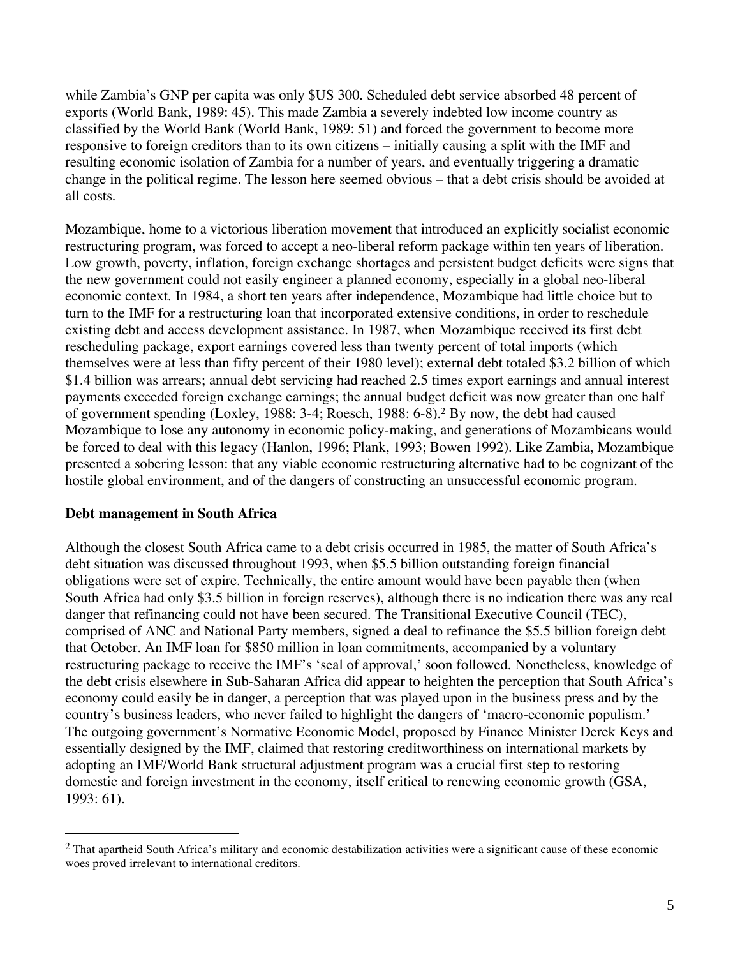while Zambia's GNP per capita was only \$US 300. Scheduled debt service absorbed 48 percent of exports (World Bank, 1989: 45). This made Zambia a severely indebted low income country as classified by the World Bank (World Bank, 1989: 51) and forced the government to become more responsive to foreign creditors than to its own citizens – initially causing a split with the IMF and resulting economic isolation of Zambia for a number of years, and eventually triggering a dramatic change in the political regime. The lesson here seemed obvious – that a debt crisis should be avoided at all costs.

Mozambique, home to a victorious liberation movement that introduced an explicitly socialist economic restructuring program, was forced to accept a neo-liberal reform package within ten years of liberation. Low growth, poverty, inflation, foreign exchange shortages and persistent budget deficits were signs that the new government could not easily engineer a planned economy, especially in a global neo-liberal economic context. In 1984, a short ten years after independence, Mozambique had little choice but to turn to the IMF for a restructuring loan that incorporated extensive conditions, in order to reschedule existing debt and access development assistance. In 1987, when Mozambique received its first debt rescheduling package, export earnings covered less than twenty percent of total imports (which themselves were at less than fifty percent of their 1980 level); external debt totaled \$3.2 billion of which \$1.4 billion was arrears; annual debt servicing had reached 2.5 times export earnings and annual interest payments exceeded foreign exchange earnings; the annual budget deficit was now greater than one half of government spending (Loxley, 1988: 3-4; Roesch, 1988: 6-8).2 By now, the debt had caused Mozambique to lose any autonomy in economic policy-making, and generations of Mozambicans would be forced to deal with this legacy (Hanlon, 1996; Plank, 1993; Bowen 1992). Like Zambia, Mozambique presented a sobering lesson: that any viable economic restructuring alternative had to be cognizant of the hostile global environment, and of the dangers of constructing an unsuccessful economic program.

#### **Debt management in South Africa**

1

Although the closest South Africa came to a debt crisis occurred in 1985, the matter of South Africa's debt situation was discussed throughout 1993, when \$5.5 billion outstanding foreign financial obligations were set of expire. Technically, the entire amount would have been payable then (when South Africa had only \$3.5 billion in foreign reserves), although there is no indication there was any real danger that refinancing could not have been secured. The Transitional Executive Council (TEC), comprised of ANC and National Party members, signed a deal to refinance the \$5.5 billion foreign debt that October. An IMF loan for \$850 million in loan commitments, accompanied by a voluntary restructuring package to receive the IMF's 'seal of approval,' soon followed. Nonetheless, knowledge of the debt crisis elsewhere in Sub-Saharan Africa did appear to heighten the perception that South Africa's economy could easily be in danger, a perception that was played upon in the business press and by the country's business leaders, who never failed to highlight the dangers of 'macro-economic populism.' The outgoing government's Normative Economic Model, proposed by Finance Minister Derek Keys and essentially designed by the IMF, claimed that restoring creditworthiness on international markets by adopting an IMF/World Bank structural adjustment program was a crucial first step to restoring domestic and foreign investment in the economy, itself critical to renewing economic growth (GSA, 1993: 61).

 $<sup>2</sup>$  That apartheid South Africa's military and economic destabilization activities were a significant cause of these economic</sup> woes proved irrelevant to international creditors.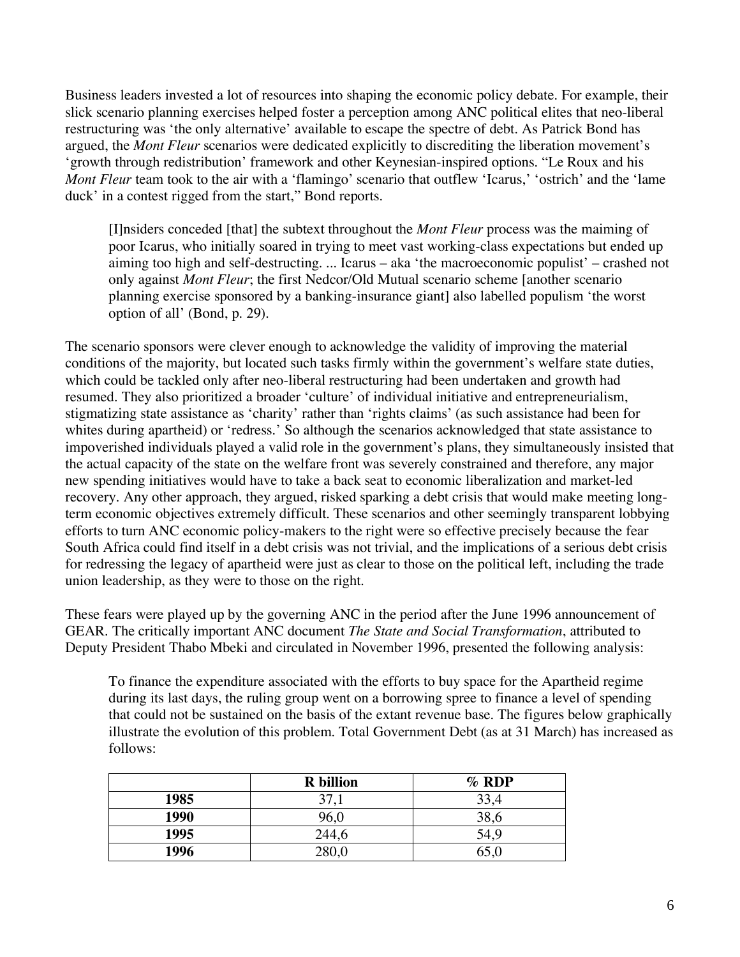Business leaders invested a lot of resources into shaping the economic policy debate. For example, their slick scenario planning exercises helped foster a perception among ANC political elites that neo-liberal restructuring was 'the only alternative' available to escape the spectre of debt. As Patrick Bond has argued, the *Mont Fleur* scenarios were dedicated explicitly to discrediting the liberation movement's 'growth through redistribution' framework and other Keynesian-inspired options. "Le Roux and his *Mont Fleur* team took to the air with a 'flamingo' scenario that outflew 'Icarus,' 'ostrich' and the 'lame duck' in a contest rigged from the start," Bond reports.

[I]nsiders conceded [that] the subtext throughout the *Mont Fleur* process was the maiming of poor Icarus, who initially soared in trying to meet vast working-class expectations but ended up aiming too high and self-destructing. ... Icarus – aka 'the macroeconomic populist' – crashed not only against *Mont Fleur*; the first Nedcor/Old Mutual scenario scheme [another scenario planning exercise sponsored by a banking-insurance giant] also labelled populism 'the worst option of all' (Bond, p. 29).

The scenario sponsors were clever enough to acknowledge the validity of improving the material conditions of the majority, but located such tasks firmly within the government's welfare state duties, which could be tackled only after neo-liberal restructuring had been undertaken and growth had resumed. They also prioritized a broader 'culture' of individual initiative and entrepreneurialism, stigmatizing state assistance as 'charity' rather than 'rights claims' (as such assistance had been for whites during apartheid) or 'redress.' So although the scenarios acknowledged that state assistance to impoverished individuals played a valid role in the government's plans, they simultaneously insisted that the actual capacity of the state on the welfare front was severely constrained and therefore, any major new spending initiatives would have to take a back seat to economic liberalization and market-led recovery. Any other approach, they argued, risked sparking a debt crisis that would make meeting longterm economic objectives extremely difficult. These scenarios and other seemingly transparent lobbying efforts to turn ANC economic policy-makers to the right were so effective precisely because the fear South Africa could find itself in a debt crisis was not trivial, and the implications of a serious debt crisis for redressing the legacy of apartheid were just as clear to those on the political left, including the trade union leadership, as they were to those on the right.

These fears were played up by the governing ANC in the period after the June 1996 announcement of GEAR. The critically important ANC document *The State and Social Transformation*, attributed to Deputy President Thabo Mbeki and circulated in November 1996, presented the following analysis:

To finance the expenditure associated with the efforts to buy space for the Apartheid regime during its last days, the ruling group went on a borrowing spree to finance a level of spending that could not be sustained on the basis of the extant revenue base. The figures below graphically illustrate the evolution of this problem. Total Government Debt (as at 31 March) has increased as follows:

|      | <b>R</b> billion | $%$ RDP |
|------|------------------|---------|
| 1985 | 37,1             | 33,4    |
| 1990 | 96,0             | 38,6    |
| 1995 | 244,6            | 54,9    |
| 1996 | 280 U            |         |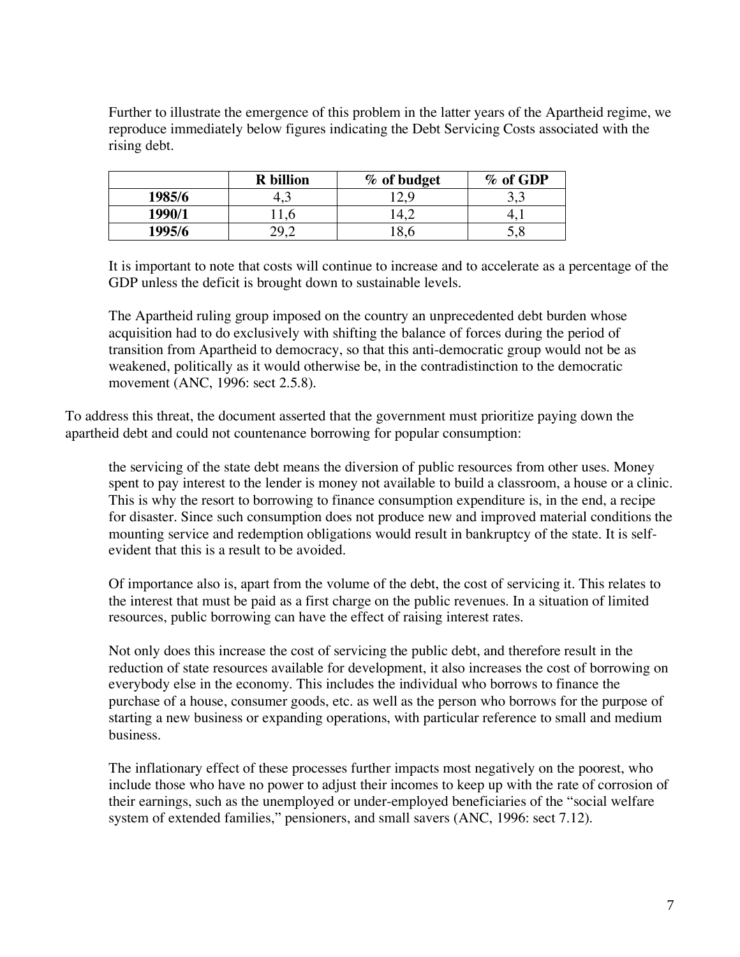Further to illustrate the emergence of this problem in the latter years of the Apartheid regime, we reproduce immediately below figures indicating the Debt Servicing Costs associated with the rising debt.

|        | <b>R</b> billion | % of budget | % of GDP |
|--------|------------------|-------------|----------|
| 1985/6 | т.               |             | ں ک      |
| 1990/1 |                  |             |          |
| 1995/6 |                  |             | 5,8      |

It is important to note that costs will continue to increase and to accelerate as a percentage of the GDP unless the deficit is brought down to sustainable levels.

The Apartheid ruling group imposed on the country an unprecedented debt burden whose acquisition had to do exclusively with shifting the balance of forces during the period of transition from Apartheid to democracy, so that this anti-democratic group would not be as weakened, politically as it would otherwise be, in the contradistinction to the democratic movement (ANC, 1996: sect 2.5.8).

To address this threat, the document asserted that the government must prioritize paying down the apartheid debt and could not countenance borrowing for popular consumption:

the servicing of the state debt means the diversion of public resources from other uses. Money spent to pay interest to the lender is money not available to build a classroom, a house or a clinic. This is why the resort to borrowing to finance consumption expenditure is, in the end, a recipe for disaster. Since such consumption does not produce new and improved material conditions the mounting service and redemption obligations would result in bankruptcy of the state. It is selfevident that this is a result to be avoided.

Of importance also is, apart from the volume of the debt, the cost of servicing it. This relates to the interest that must be paid as a first charge on the public revenues. In a situation of limited resources, public borrowing can have the effect of raising interest rates.

Not only does this increase the cost of servicing the public debt, and therefore result in the reduction of state resources available for development, it also increases the cost of borrowing on everybody else in the economy. This includes the individual who borrows to finance the purchase of a house, consumer goods, etc. as well as the person who borrows for the purpose of starting a new business or expanding operations, with particular reference to small and medium business.

The inflationary effect of these processes further impacts most negatively on the poorest, who include those who have no power to adjust their incomes to keep up with the rate of corrosion of their earnings, such as the unemployed or under-employed beneficiaries of the "social welfare system of extended families," pensioners, and small savers (ANC, 1996: sect 7.12).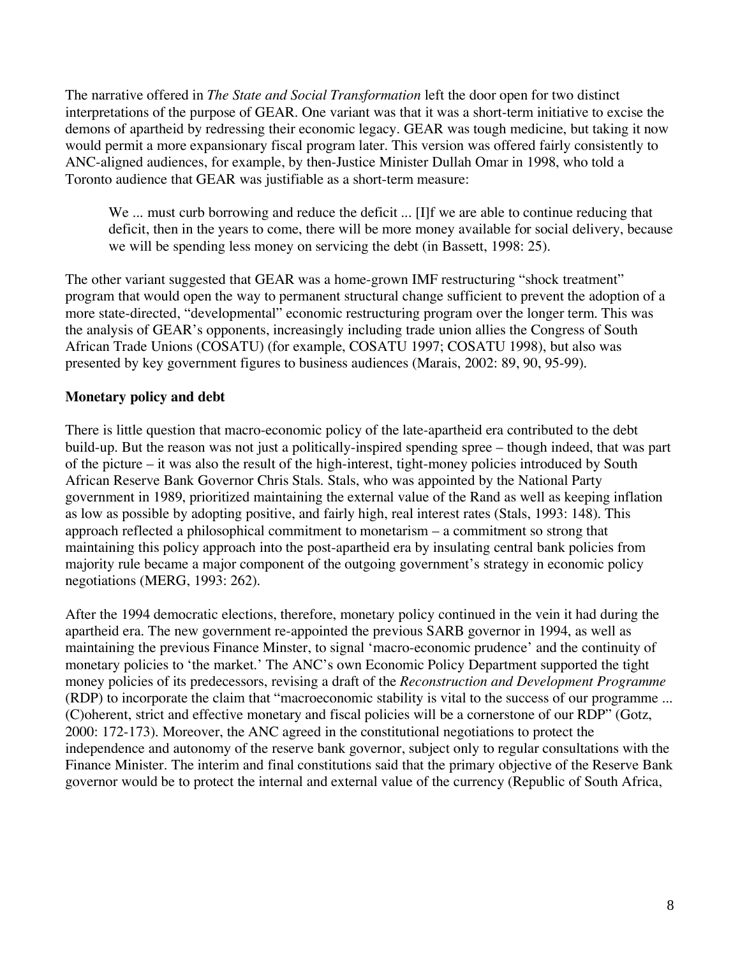The narrative offered in *The State and Social Transformation* left the door open for two distinct interpretations of the purpose of GEAR. One variant was that it was a short-term initiative to excise the demons of apartheid by redressing their economic legacy. GEAR was tough medicine, but taking it now would permit a more expansionary fiscal program later. This version was offered fairly consistently to ANC-aligned audiences, for example, by then-Justice Minister Dullah Omar in 1998, who told a Toronto audience that GEAR was justifiable as a short-term measure:

We ... must curb borrowing and reduce the deficit ... [I]f we are able to continue reducing that deficit, then in the years to come, there will be more money available for social delivery, because we will be spending less money on servicing the debt (in Bassett, 1998: 25).

The other variant suggested that GEAR was a home-grown IMF restructuring "shock treatment" program that would open the way to permanent structural change sufficient to prevent the adoption of a more state-directed, "developmental" economic restructuring program over the longer term. This was the analysis of GEAR's opponents, increasingly including trade union allies the Congress of South African Trade Unions (COSATU) (for example, COSATU 1997; COSATU 1998), but also was presented by key government figures to business audiences (Marais, 2002: 89, 90, 95-99).

# **Monetary policy and debt**

There is little question that macro-economic policy of the late-apartheid era contributed to the debt build-up. But the reason was not just a politically-inspired spending spree – though indeed, that was part of the picture – it was also the result of the high-interest, tight-money policies introduced by South African Reserve Bank Governor Chris Stals. Stals, who was appointed by the National Party government in 1989, prioritized maintaining the external value of the Rand as well as keeping inflation as low as possible by adopting positive, and fairly high, real interest rates (Stals, 1993: 148). This approach reflected a philosophical commitment to monetarism – a commitment so strong that maintaining this policy approach into the post-apartheid era by insulating central bank policies from majority rule became a major component of the outgoing government's strategy in economic policy negotiations (MERG, 1993: 262).

After the 1994 democratic elections, therefore, monetary policy continued in the vein it had during the apartheid era. The new government re-appointed the previous SARB governor in 1994, as well as maintaining the previous Finance Minster, to signal 'macro-economic prudence' and the continuity of monetary policies to 'the market.' The ANC's own Economic Policy Department supported the tight money policies of its predecessors, revising a draft of the *Reconstruction and Development Programme* (RDP) to incorporate the claim that "macroeconomic stability is vital to the success of our programme ... (C)oherent, strict and effective monetary and fiscal policies will be a cornerstone of our RDP" (Gotz, 2000: 172-173). Moreover, the ANC agreed in the constitutional negotiations to protect the independence and autonomy of the reserve bank governor, subject only to regular consultations with the Finance Minister. The interim and final constitutions said that the primary objective of the Reserve Bank governor would be to protect the internal and external value of the currency (Republic of South Africa,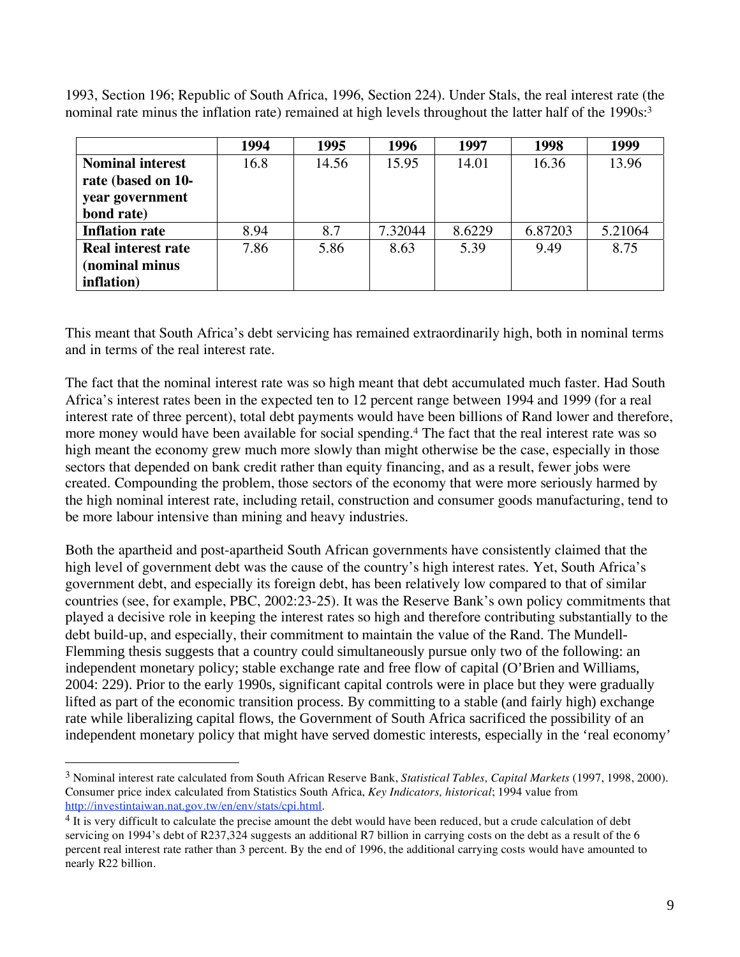1993, Section 196; Republic of South Africa, 1996, Section 224). Under Stals, the real interest rate (the nominal rate minus the inflation rate) remained at high levels throughout the latter half of the 1990s:<sup>3</sup>

|                           | 1994 | 1995  | 1996    | 1997   | 1998    | 1999    |
|---------------------------|------|-------|---------|--------|---------|---------|
| <b>Nominal interest</b>   | 16.8 | 14.56 | 15.95   | 14.01  | 16.36   | 13.96   |
| rate (based on 10-        |      |       |         |        |         |         |
| year government           |      |       |         |        |         |         |
| bond rate)                |      |       |         |        |         |         |
| <b>Inflation rate</b>     | 8.94 | 8.7   | 7.32044 | 8.6229 | 6.87203 | 5.21064 |
| <b>Real interest rate</b> | 7.86 | 5.86  | 8.63    | 5.39   | 9.49    | 8.75    |
| (nominal minus            |      |       |         |        |         |         |
| inflation)                |      |       |         |        |         |         |

This meant that South Africa's debt servicing has remained extraordinarily high, both in nominal terms and in terms of the real interest rate.

The fact that the nominal interest rate was so high meant that debt accumulated much faster. Had South Africa's interest rates been in the expected ten to 12 percent range between 1994 and 1999 (for a real interest rate of three percent), total debt payments would have been billions of Rand lower and therefore, more money would have been available for social spending.4 The fact that the real interest rate was so high meant the economy grew much more slowly than might otherwise be the case, especially in those sectors that depended on bank credit rather than equity financing, and as a result, fewer jobs were created. Compounding the problem, those sectors of the economy that were more seriously harmed by the high nominal interest rate, including retail, construction and consumer goods manufacturing, tend to be more labour intensive than mining and heavy industries.

Both the apartheid and post-apartheid South African governments have consistently claimed that the high level of government debt was the cause of the country's high interest rates. Yet, South Africa's government debt, and especially its foreign debt, has been relatively low compared to that of similar countries (see, for example, PBC, 2002:23-25). It was the Reserve Bank's own policy commitments that played a decisive role in keeping the interest rates so high and therefore contributing substantially to the debt build-up, and especially, their commitment to maintain the value of the Rand. The Mundell-Flemming thesis suggests that a country could simultaneously pursue only two of the following: an independent monetary policy; stable exchange rate and free flow of capital (O'Brien and Williams, 2004: 229). Prior to the early 1990s, significant capital controls were in place but they were gradually lifted as part of the economic transition process. By committing to a stable (and fairly high) exchange rate while liberalizing capital flows, the Government of South Africa sacrificed the possibility of an independent monetary policy that might have served domestic interests, especially in the 'real economy'

 $\overline{a}$ 

<sup>3</sup> Nominal interest rate calculated from South African Reserve Bank, *Statistical Tables, Capital Markets* (1997, 1998, 2000). Consumer price index calculated from Statistics South Africa, *Key Indicators, historical*; 1994 value from

<sup>&</sup>lt;sup>4</sup> It is very difficult to calculate the precise amount the debt would have been reduced, but a crude calculation of debt servicing on 1994's debt of R237,324 suggests an additional R7 billion in carrying costs on the debt as a result of the 6 percent real interest rate rather than 3 percent. By the end of 1996, the additional carrying costs would have amounted to nearly R22 billion.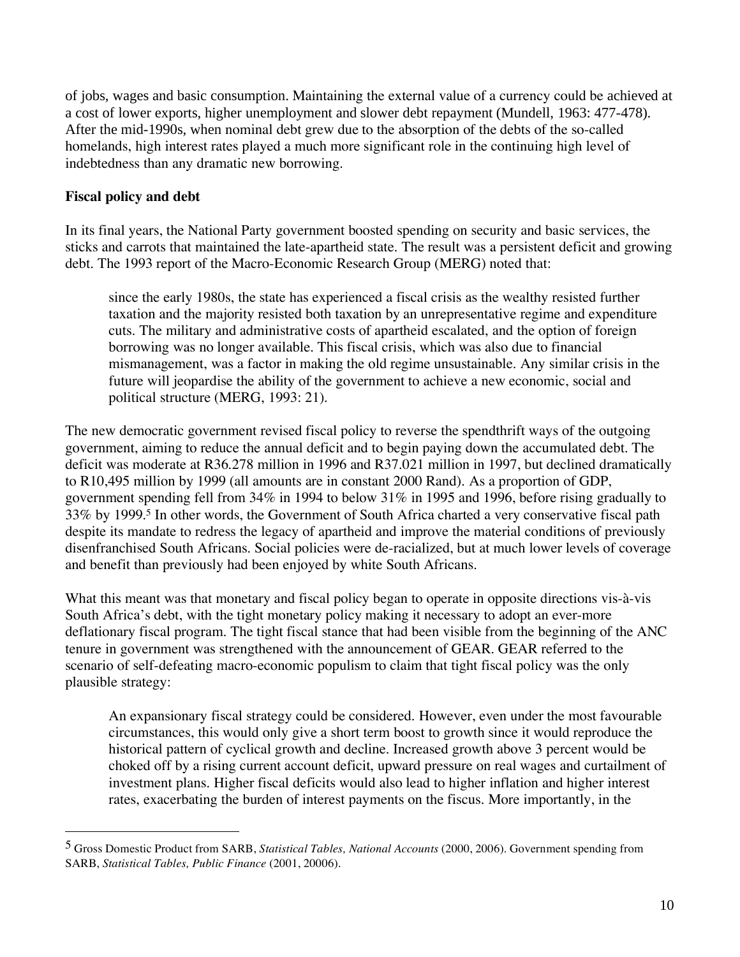of jobs, wages and basic consumption. Maintaining the external value of a currency could be achieved at a cost of lower exports, higher unemployment and slower debt repayment (Mundell, 1963: 477-478). After the mid-1990s, when nominal debt grew due to the absorption of the debts of the so-called homelands, high interest rates played a much more significant role in the continuing high level of indebtedness than any dramatic new borrowing.

## **Fiscal policy and debt**

1

In its final years, the National Party government boosted spending on security and basic services, the sticks and carrots that maintained the late-apartheid state. The result was a persistent deficit and growing debt. The 1993 report of the Macro-Economic Research Group (MERG) noted that:

since the early 1980s, the state has experienced a fiscal crisis as the wealthy resisted further taxation and the majority resisted both taxation by an unrepresentative regime and expenditure cuts. The military and administrative costs of apartheid escalated, and the option of foreign borrowing was no longer available. This fiscal crisis, which was also due to financial mismanagement, was a factor in making the old regime unsustainable. Any similar crisis in the future will jeopardise the ability of the government to achieve a new economic, social and political structure (MERG, 1993: 21).

The new democratic government revised fiscal policy to reverse the spendthrift ways of the outgoing government, aiming to reduce the annual deficit and to begin paying down the accumulated debt. The deficit was moderate at R36.278 million in 1996 and R37.021 million in 1997, but declined dramatically to R10,495 million by 1999 (all amounts are in constant 2000 Rand). As a proportion of GDP, government spending fell from 34% in 1994 to below 31% in 1995 and 1996, before rising gradually to 33% by 1999.5 In other words, the Government of South Africa charted a very conservative fiscal path despite its mandate to redress the legacy of apartheid and improve the material conditions of previously disenfranchised South Africans. Social policies were de-racialized, but at much lower levels of coverage and benefit than previously had been enjoyed by white South Africans.

What this meant was that monetary and fiscal policy began to operate in opposite directions vis-à-vis South Africa's debt, with the tight monetary policy making it necessary to adopt an ever-more deflationary fiscal program. The tight fiscal stance that had been visible from the beginning of the ANC tenure in government was strengthened with the announcement of GEAR. GEAR referred to the scenario of self-defeating macro-economic populism to claim that tight fiscal policy was the only plausible strategy:

An expansionary fiscal strategy could be considered. However, even under the most favourable circumstances, this would only give a short term boost to growth since it would reproduce the historical pattern of cyclical growth and decline. Increased growth above 3 percent would be choked off by a rising current account deficit, upward pressure on real wages and curtailment of investment plans. Higher fiscal deficits would also lead to higher inflation and higher interest rates, exacerbating the burden of interest payments on the fiscus. More importantly, in the

<sup>5</sup> Gross Domestic Product from SARB, *Statistical Tables, National Accounts* (2000, 2006). Government spending from SARB, *Statistical Tables, Public Finance* (2001, 20006).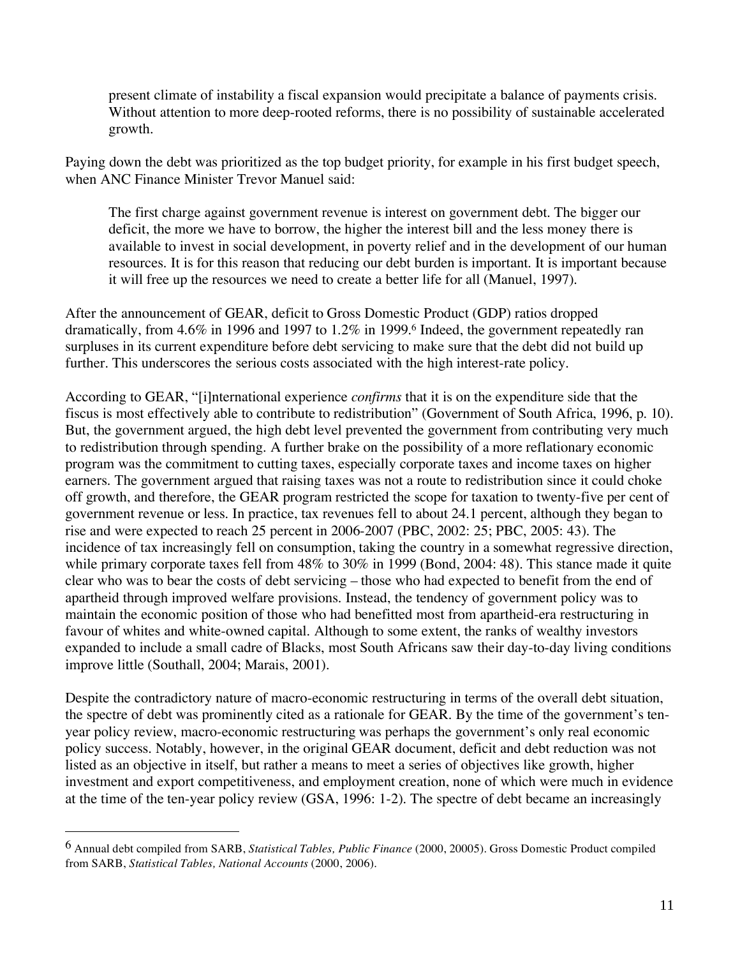present climate of instability a fiscal expansion would precipitate a balance of payments crisis. Without attention to more deep-rooted reforms, there is no possibility of sustainable accelerated growth.

Paying down the debt was prioritized as the top budget priority, for example in his first budget speech, when ANC Finance Minister Trevor Manuel said:

The first charge against government revenue is interest on government debt. The bigger our deficit, the more we have to borrow, the higher the interest bill and the less money there is available to invest in social development, in poverty relief and in the development of our human resources. It is for this reason that reducing our debt burden is important. It is important because it will free up the resources we need to create a better life for all (Manuel, 1997).

After the announcement of GEAR, deficit to Gross Domestic Product (GDP) ratios dropped dramatically, from 4.6% in 1996 and 1997 to 1.2% in 1999.6 Indeed, the government repeatedly ran surpluses in its current expenditure before debt servicing to make sure that the debt did not build up further. This underscores the serious costs associated with the high interest-rate policy.

According to GEAR, "[i]nternational experience *confirms* that it is on the expenditure side that the fiscus is most effectively able to contribute to redistribution" (Government of South Africa, 1996, p. 10). But, the government argued, the high debt level prevented the government from contributing very much to redistribution through spending. A further brake on the possibility of a more reflationary economic program was the commitment to cutting taxes, especially corporate taxes and income taxes on higher earners. The government argued that raising taxes was not a route to redistribution since it could choke off growth, and therefore, the GEAR program restricted the scope for taxation to twenty-five per cent of government revenue or less. In practice, tax revenues fell to about 24.1 percent, although they began to rise and were expected to reach 25 percent in 2006-2007 (PBC, 2002: 25; PBC, 2005: 43). The incidence of tax increasingly fell on consumption, taking the country in a somewhat regressive direction, while primary corporate taxes fell from  $48\%$  to  $30\%$  in 1999 (Bond, 2004: 48). This stance made it quite clear who was to bear the costs of debt servicing – those who had expected to benefit from the end of apartheid through improved welfare provisions. Instead, the tendency of government policy was to maintain the economic position of those who had benefitted most from apartheid-era restructuring in favour of whites and white-owned capital. Although to some extent, the ranks of wealthy investors expanded to include a small cadre of Blacks, most South Africans saw their day-to-day living conditions improve little (Southall, 2004; Marais, 2001).

Despite the contradictory nature of macro-economic restructuring in terms of the overall debt situation, the spectre of debt was prominently cited as a rationale for GEAR. By the time of the government's tenyear policy review, macro-economic restructuring was perhaps the government's only real economic policy success. Notably, however, in the original GEAR document, deficit and debt reduction was not listed as an objective in itself, but rather a means to meet a series of objectives like growth, higher investment and export competitiveness, and employment creation, none of which were much in evidence at the time of the ten-year policy review (GSA, 1996: 1-2). The spectre of debt became an increasingly

 $\overline{a}$ 

<sup>6</sup> Annual debt compiled from SARB, *Statistical Tables, Public Finance* (2000, 20005). Gross Domestic Product compiled from SARB, *Statistical Tables, National Accounts* (2000, 2006).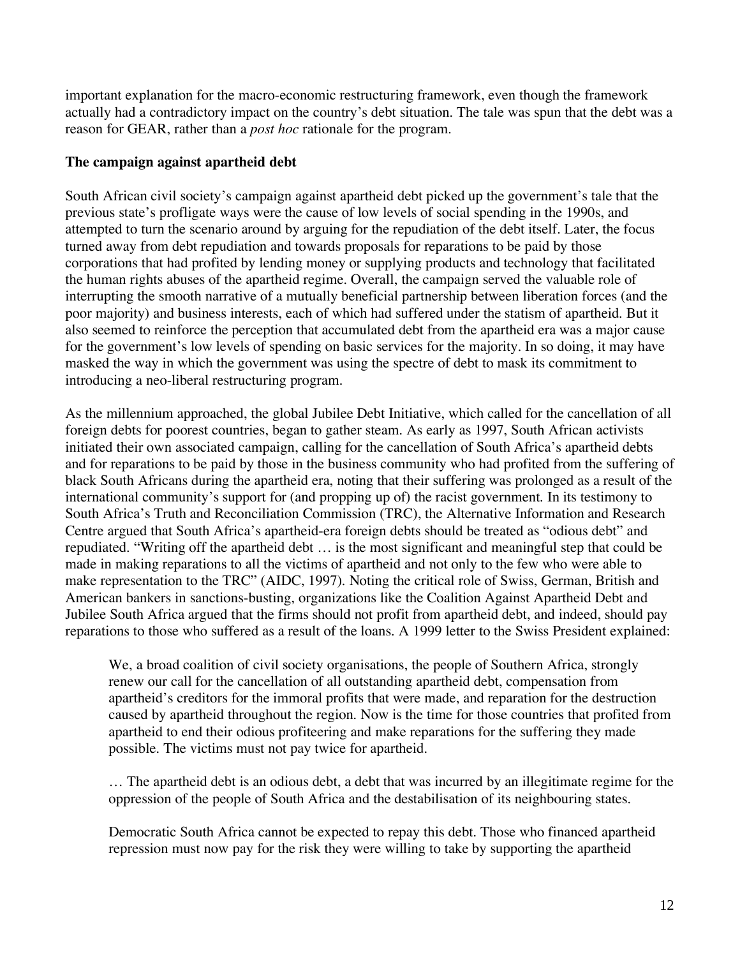important explanation for the macro-economic restructuring framework, even though the framework actually had a contradictory impact on the country's debt situation. The tale was spun that the debt was a reason for GEAR, rather than a *post hoc* rationale for the program.

## **The campaign against apartheid debt**

South African civil society's campaign against apartheid debt picked up the government's tale that the previous state's profligate ways were the cause of low levels of social spending in the 1990s, and attempted to turn the scenario around by arguing for the repudiation of the debt itself. Later, the focus turned away from debt repudiation and towards proposals for reparations to be paid by those corporations that had profited by lending money or supplying products and technology that facilitated the human rights abuses of the apartheid regime. Overall, the campaign served the valuable role of interrupting the smooth narrative of a mutually beneficial partnership between liberation forces (and the poor majority) and business interests, each of which had suffered under the statism of apartheid. But it also seemed to reinforce the perception that accumulated debt from the apartheid era was a major cause for the government's low levels of spending on basic services for the majority. In so doing, it may have masked the way in which the government was using the spectre of debt to mask its commitment to introducing a neo-liberal restructuring program.

As the millennium approached, the global Jubilee Debt Initiative, which called for the cancellation of all foreign debts for poorest countries, began to gather steam. As early as 1997, South African activists initiated their own associated campaign, calling for the cancellation of South Africa's apartheid debts and for reparations to be paid by those in the business community who had profited from the suffering of black South Africans during the apartheid era, noting that their suffering was prolonged as a result of the international community's support for (and propping up of) the racist government. In its testimony to South Africa's Truth and Reconciliation Commission (TRC), the Alternative Information and Research Centre argued that South Africa's apartheid-era foreign debts should be treated as "odious debt" and repudiated. "Writing off the apartheid debt … is the most significant and meaningful step that could be made in making reparations to all the victims of apartheid and not only to the few who were able to make representation to the TRC" (AIDC, 1997). Noting the critical role of Swiss, German, British and American bankers in sanctions-busting, organizations like the Coalition Against Apartheid Debt and Jubilee South Africa argued that the firms should not profit from apartheid debt, and indeed, should pay reparations to those who suffered as a result of the loans. A 1999 letter to the Swiss President explained:

We, a broad coalition of civil society organisations, the people of Southern Africa, strongly renew our call for the cancellation of all outstanding apartheid debt, compensation from apartheid's creditors for the immoral profits that were made, and reparation for the destruction caused by apartheid throughout the region. Now is the time for those countries that profited from apartheid to end their odious profiteering and make reparations for the suffering they made possible. The victims must not pay twice for apartheid.

… The apartheid debt is an odious debt, a debt that was incurred by an illegitimate regime for the oppression of the people of South Africa and the destabilisation of its neighbouring states.

Democratic South Africa cannot be expected to repay this debt. Those who financed apartheid repression must now pay for the risk they were willing to take by supporting the apartheid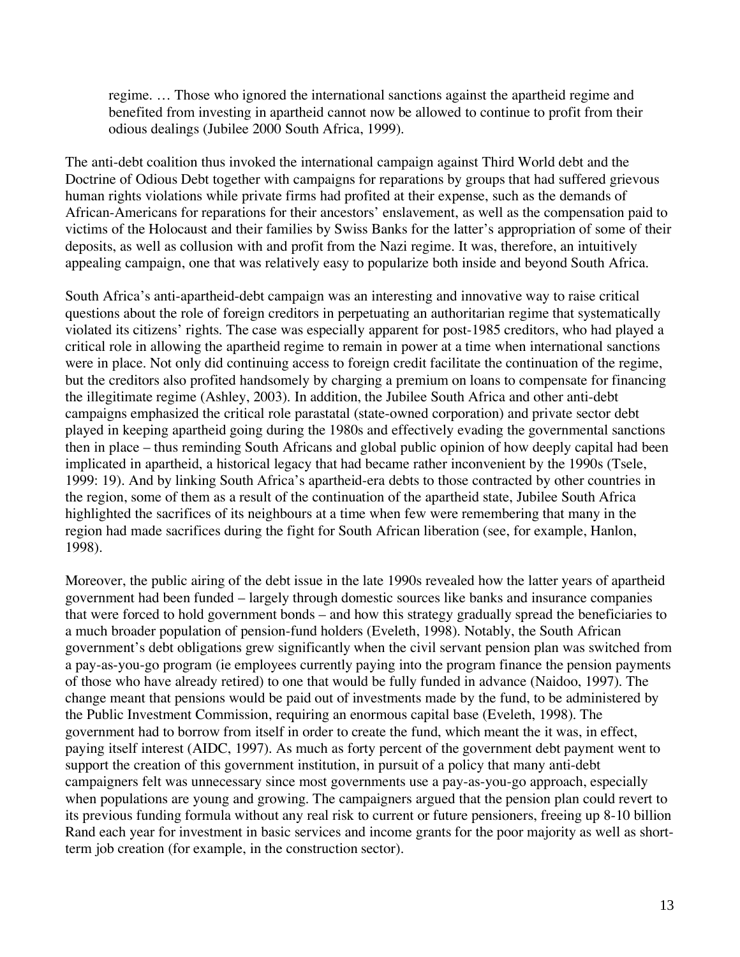regime. … Those who ignored the international sanctions against the apartheid regime and benefited from investing in apartheid cannot now be allowed to continue to profit from their odious dealings (Jubilee 2000 South Africa, 1999).

The anti-debt coalition thus invoked the international campaign against Third World debt and the Doctrine of Odious Debt together with campaigns for reparations by groups that had suffered grievous human rights violations while private firms had profited at their expense, such as the demands of African-Americans for reparations for their ancestors' enslavement, as well as the compensation paid to victims of the Holocaust and their families by Swiss Banks for the latter's appropriation of some of their deposits, as well as collusion with and profit from the Nazi regime. It was, therefore, an intuitively appealing campaign, one that was relatively easy to popularize both inside and beyond South Africa.

South Africa's anti-apartheid-debt campaign was an interesting and innovative way to raise critical questions about the role of foreign creditors in perpetuating an authoritarian regime that systematically violated its citizens' rights. The case was especially apparent for post-1985 creditors, who had played a critical role in allowing the apartheid regime to remain in power at a time when international sanctions were in place. Not only did continuing access to foreign credit facilitate the continuation of the regime, but the creditors also profited handsomely by charging a premium on loans to compensate for financing the illegitimate regime (Ashley, 2003). In addition, the Jubilee South Africa and other anti-debt campaigns emphasized the critical role parastatal (state-owned corporation) and private sector debt played in keeping apartheid going during the 1980s and effectively evading the governmental sanctions then in place – thus reminding South Africans and global public opinion of how deeply capital had been implicated in apartheid, a historical legacy that had became rather inconvenient by the 1990s (Tsele, 1999: 19). And by linking South Africa's apartheid-era debts to those contracted by other countries in the region, some of them as a result of the continuation of the apartheid state, Jubilee South Africa highlighted the sacrifices of its neighbours at a time when few were remembering that many in the region had made sacrifices during the fight for South African liberation (see, for example, Hanlon, 1998).

Moreover, the public airing of the debt issue in the late 1990s revealed how the latter years of apartheid government had been funded – largely through domestic sources like banks and insurance companies that were forced to hold government bonds – and how this strategy gradually spread the beneficiaries to a much broader population of pension-fund holders (Eveleth, 1998). Notably, the South African government's debt obligations grew significantly when the civil servant pension plan was switched from a pay-as-you-go program (ie employees currently paying into the program finance the pension payments of those who have already retired) to one that would be fully funded in advance (Naidoo, 1997). The change meant that pensions would be paid out of investments made by the fund, to be administered by the Public Investment Commission, requiring an enormous capital base (Eveleth, 1998). The government had to borrow from itself in order to create the fund, which meant the it was, in effect, paying itself interest (AIDC, 1997). As much as forty percent of the government debt payment went to support the creation of this government institution, in pursuit of a policy that many anti-debt campaigners felt was unnecessary since most governments use a pay-as-you-go approach, especially when populations are young and growing. The campaigners argued that the pension plan could revert to its previous funding formula without any real risk to current or future pensioners, freeing up 8-10 billion Rand each year for investment in basic services and income grants for the poor majority as well as shortterm job creation (for example, in the construction sector).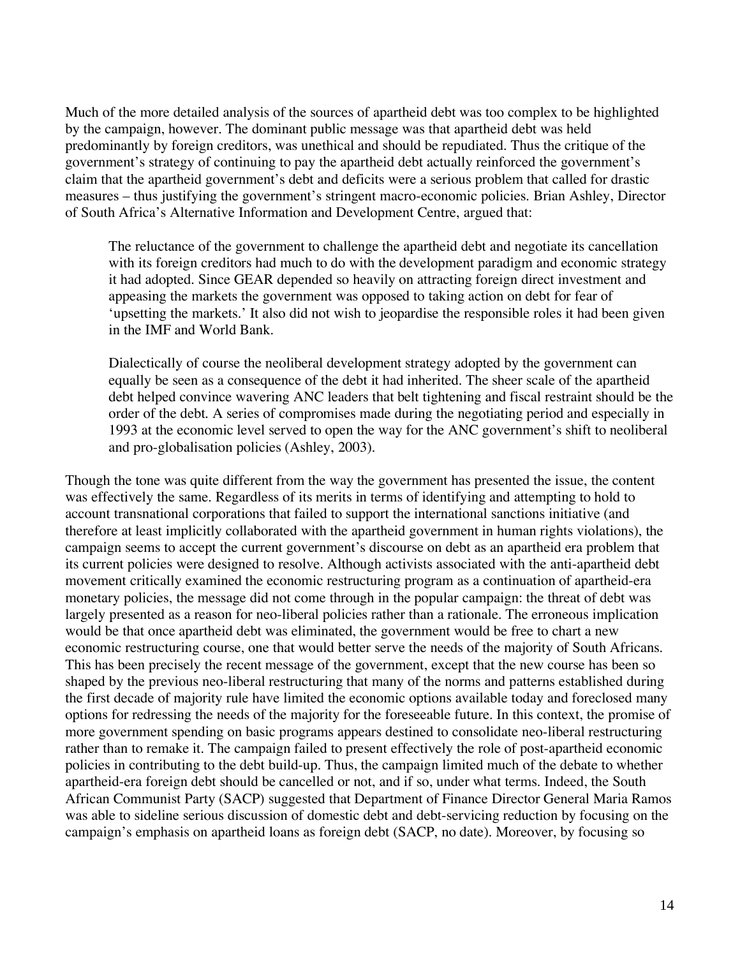Much of the more detailed analysis of the sources of apartheid debt was too complex to be highlighted by the campaign, however. The dominant public message was that apartheid debt was held predominantly by foreign creditors, was unethical and should be repudiated. Thus the critique of the government's strategy of continuing to pay the apartheid debt actually reinforced the government's claim that the apartheid government's debt and deficits were a serious problem that called for drastic measures – thus justifying the government's stringent macro-economic policies. Brian Ashley, Director of South Africa's Alternative Information and Development Centre, argued that:

The reluctance of the government to challenge the apartheid debt and negotiate its cancellation with its foreign creditors had much to do with the development paradigm and economic strategy it had adopted. Since GEAR depended so heavily on attracting foreign direct investment and appeasing the markets the government was opposed to taking action on debt for fear of 'upsetting the markets.' It also did not wish to jeopardise the responsible roles it had been given in the IMF and World Bank.

Dialectically of course the neoliberal development strategy adopted by the government can equally be seen as a consequence of the debt it had inherited. The sheer scale of the apartheid debt helped convince wavering ANC leaders that belt tightening and fiscal restraint should be the order of the debt. A series of compromises made during the negotiating period and especially in 1993 at the economic level served to open the way for the ANC government's shift to neoliberal and pro-globalisation policies (Ashley, 2003).

Though the tone was quite different from the way the government has presented the issue, the content was effectively the same. Regardless of its merits in terms of identifying and attempting to hold to account transnational corporations that failed to support the international sanctions initiative (and therefore at least implicitly collaborated with the apartheid government in human rights violations), the campaign seems to accept the current government's discourse on debt as an apartheid era problem that its current policies were designed to resolve. Although activists associated with the anti-apartheid debt movement critically examined the economic restructuring program as a continuation of apartheid-era monetary policies, the message did not come through in the popular campaign: the threat of debt was largely presented as a reason for neo-liberal policies rather than a rationale. The erroneous implication would be that once apartheid debt was eliminated, the government would be free to chart a new economic restructuring course, one that would better serve the needs of the majority of South Africans. This has been precisely the recent message of the government, except that the new course has been so shaped by the previous neo-liberal restructuring that many of the norms and patterns established during the first decade of majority rule have limited the economic options available today and foreclosed many options for redressing the needs of the majority for the foreseeable future. In this context, the promise of more government spending on basic programs appears destined to consolidate neo-liberal restructuring rather than to remake it. The campaign failed to present effectively the role of post-apartheid economic policies in contributing to the debt build-up. Thus, the campaign limited much of the debate to whether apartheid-era foreign debt should be cancelled or not, and if so, under what terms. Indeed, the South African Communist Party (SACP) suggested that Department of Finance Director General Maria Ramos was able to sideline serious discussion of domestic debt and debt-servicing reduction by focusing on the campaign's emphasis on apartheid loans as foreign debt (SACP, no date). Moreover, by focusing so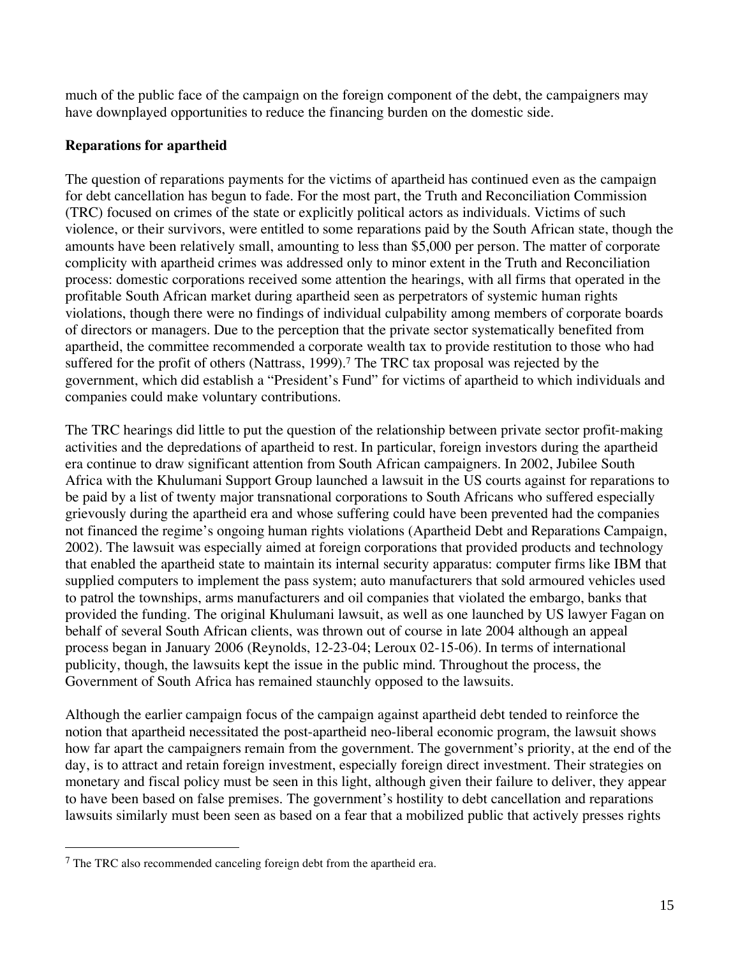much of the public face of the campaign on the foreign component of the debt, the campaigners may have downplayed opportunities to reduce the financing burden on the domestic side.

## **Reparations for apartheid**

The question of reparations payments for the victims of apartheid has continued even as the campaign for debt cancellation has begun to fade. For the most part, the Truth and Reconciliation Commission (TRC) focused on crimes of the state or explicitly political actors as individuals. Victims of such violence, or their survivors, were entitled to some reparations paid by the South African state, though the amounts have been relatively small, amounting to less than \$5,000 per person. The matter of corporate complicity with apartheid crimes was addressed only to minor extent in the Truth and Reconciliation process: domestic corporations received some attention the hearings, with all firms that operated in the profitable South African market during apartheid seen as perpetrators of systemic human rights violations, though there were no findings of individual culpability among members of corporate boards of directors or managers. Due to the perception that the private sector systematically benefited from apartheid, the committee recommended a corporate wealth tax to provide restitution to those who had suffered for the profit of others (Nattrass, 1999).<sup>7</sup> The TRC tax proposal was rejected by the government, which did establish a "President's Fund" for victims of apartheid to which individuals and companies could make voluntary contributions.

The TRC hearings did little to put the question of the relationship between private sector profit-making activities and the depredations of apartheid to rest. In particular, foreign investors during the apartheid era continue to draw significant attention from South African campaigners. In 2002, Jubilee South Africa with the Khulumani Support Group launched a lawsuit in the US courts against for reparations to be paid by a list of twenty major transnational corporations to South Africans who suffered especially grievously during the apartheid era and whose suffering could have been prevented had the companies not financed the regime's ongoing human rights violations (Apartheid Debt and Reparations Campaign, 2002). The lawsuit was especially aimed at foreign corporations that provided products and technology that enabled the apartheid state to maintain its internal security apparatus: computer firms like IBM that supplied computers to implement the pass system; auto manufacturers that sold armoured vehicles used to patrol the townships, arms manufacturers and oil companies that violated the embargo, banks that provided the funding. The original Khulumani lawsuit, as well as one launched by US lawyer Fagan on behalf of several South African clients, was thrown out of course in late 2004 although an appeal process began in January 2006 (Reynolds, 12-23-04; Leroux 02-15-06). In terms of international publicity, though, the lawsuits kept the issue in the public mind. Throughout the process, the Government of South Africa has remained staunchly opposed to the lawsuits.

Although the earlier campaign focus of the campaign against apartheid debt tended to reinforce the notion that apartheid necessitated the post-apartheid neo-liberal economic program, the lawsuit shows how far apart the campaigners remain from the government. The government's priority, at the end of the day, is to attract and retain foreign investment, especially foreign direct investment. Their strategies on monetary and fiscal policy must be seen in this light, although given their failure to deliver, they appear to have been based on false premises. The government's hostility to debt cancellation and reparations lawsuits similarly must been seen as based on a fear that a mobilized public that actively presses rights

1

<sup>&</sup>lt;sup>7</sup> The TRC also recommended canceling foreign debt from the apartheid era.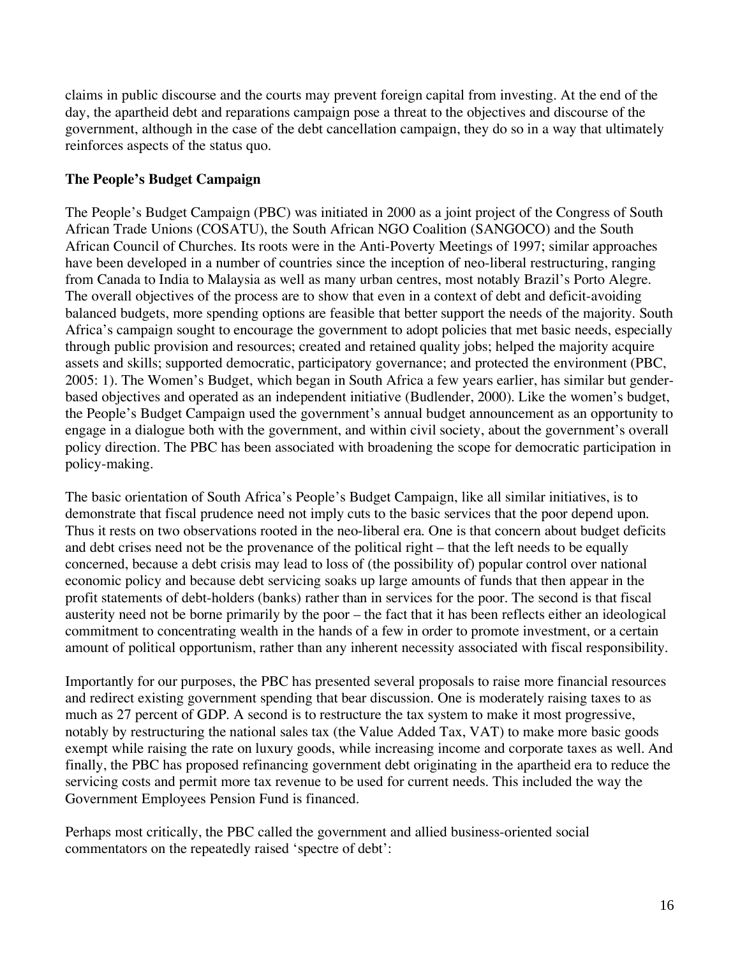claims in public discourse and the courts may prevent foreign capital from investing. At the end of the day, the apartheid debt and reparations campaign pose a threat to the objectives and discourse of the government, although in the case of the debt cancellation campaign, they do so in a way that ultimately reinforces aspects of the status quo.

## **The People's Budget Campaign**

The People's Budget Campaign (PBC) was initiated in 2000 as a joint project of the Congress of South African Trade Unions (COSATU), the South African NGO Coalition (SANGOCO) and the South African Council of Churches. Its roots were in the Anti-Poverty Meetings of 1997; similar approaches have been developed in a number of countries since the inception of neo-liberal restructuring, ranging from Canada to India to Malaysia as well as many urban centres, most notably Brazil's Porto Alegre. The overall objectives of the process are to show that even in a context of debt and deficit-avoiding balanced budgets, more spending options are feasible that better support the needs of the majority. South Africa's campaign sought to encourage the government to adopt policies that met basic needs, especially through public provision and resources; created and retained quality jobs; helped the majority acquire assets and skills; supported democratic, participatory governance; and protected the environment (PBC, 2005: 1). The Women's Budget, which began in South Africa a few years earlier, has similar but genderbased objectives and operated as an independent initiative (Budlender, 2000). Like the women's budget, the People's Budget Campaign used the government's annual budget announcement as an opportunity to engage in a dialogue both with the government, and within civil society, about the government's overall policy direction. The PBC has been associated with broadening the scope for democratic participation in policy-making.

The basic orientation of South Africa's People's Budget Campaign, like all similar initiatives, is to demonstrate that fiscal prudence need not imply cuts to the basic services that the poor depend upon. Thus it rests on two observations rooted in the neo-liberal era. One is that concern about budget deficits and debt crises need not be the provenance of the political right – that the left needs to be equally concerned, because a debt crisis may lead to loss of (the possibility of) popular control over national economic policy and because debt servicing soaks up large amounts of funds that then appear in the profit statements of debt-holders (banks) rather than in services for the poor. The second is that fiscal austerity need not be borne primarily by the poor – the fact that it has been reflects either an ideological commitment to concentrating wealth in the hands of a few in order to promote investment, or a certain amount of political opportunism, rather than any inherent necessity associated with fiscal responsibility.

Importantly for our purposes, the PBC has presented several proposals to raise more financial resources and redirect existing government spending that bear discussion. One is moderately raising taxes to as much as 27 percent of GDP. A second is to restructure the tax system to make it most progressive, notably by restructuring the national sales tax (the Value Added Tax, VAT) to make more basic goods exempt while raising the rate on luxury goods, while increasing income and corporate taxes as well. And finally, the PBC has proposed refinancing government debt originating in the apartheid era to reduce the servicing costs and permit more tax revenue to be used for current needs. This included the way the Government Employees Pension Fund is financed.

Perhaps most critically, the PBC called the government and allied business-oriented social commentators on the repeatedly raised 'spectre of debt':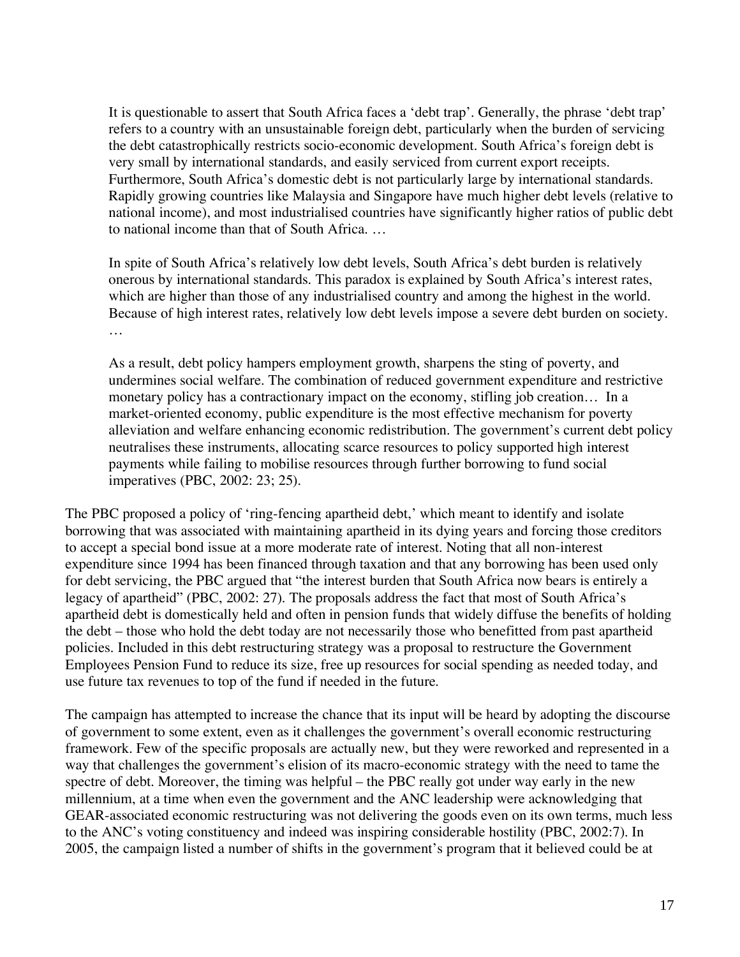It is questionable to assert that South Africa faces a 'debt trap'. Generally, the phrase 'debt trap' refers to a country with an unsustainable foreign debt, particularly when the burden of servicing the debt catastrophically restricts socio-economic development. South Africa's foreign debt is very small by international standards, and easily serviced from current export receipts. Furthermore, South Africa's domestic debt is not particularly large by international standards. Rapidly growing countries like Malaysia and Singapore have much higher debt levels (relative to national income), and most industrialised countries have significantly higher ratios of public debt to national income than that of South Africa. …

In spite of South Africa's relatively low debt levels, South Africa's debt burden is relatively onerous by international standards. This paradox is explained by South Africa's interest rates, which are higher than those of any industrialised country and among the highest in the world. Because of high interest rates, relatively low debt levels impose a severe debt burden on society. …

As a result, debt policy hampers employment growth, sharpens the sting of poverty, and undermines social welfare. The combination of reduced government expenditure and restrictive monetary policy has a contractionary impact on the economy, stifling job creation… In a market-oriented economy, public expenditure is the most effective mechanism for poverty alleviation and welfare enhancing economic redistribution. The government's current debt policy neutralises these instruments, allocating scarce resources to policy supported high interest payments while failing to mobilise resources through further borrowing to fund social imperatives (PBC, 2002: 23; 25).

The PBC proposed a policy of 'ring-fencing apartheid debt,' which meant to identify and isolate borrowing that was associated with maintaining apartheid in its dying years and forcing those creditors to accept a special bond issue at a more moderate rate of interest. Noting that all non-interest expenditure since 1994 has been financed through taxation and that any borrowing has been used only for debt servicing, the PBC argued that "the interest burden that South Africa now bears is entirely a legacy of apartheid" (PBC, 2002: 27). The proposals address the fact that most of South Africa's apartheid debt is domestically held and often in pension funds that widely diffuse the benefits of holding the debt – those who hold the debt today are not necessarily those who benefitted from past apartheid policies. Included in this debt restructuring strategy was a proposal to restructure the Government Employees Pension Fund to reduce its size, free up resources for social spending as needed today, and use future tax revenues to top of the fund if needed in the future.

The campaign has attempted to increase the chance that its input will be heard by adopting the discourse of government to some extent, even as it challenges the government's overall economic restructuring framework. Few of the specific proposals are actually new, but they were reworked and represented in a way that challenges the government's elision of its macro-economic strategy with the need to tame the spectre of debt. Moreover, the timing was helpful – the PBC really got under way early in the new millennium, at a time when even the government and the ANC leadership were acknowledging that GEAR-associated economic restructuring was not delivering the goods even on its own terms, much less to the ANC's voting constituency and indeed was inspiring considerable hostility (PBC, 2002:7). In 2005, the campaign listed a number of shifts in the government's program that it believed could be at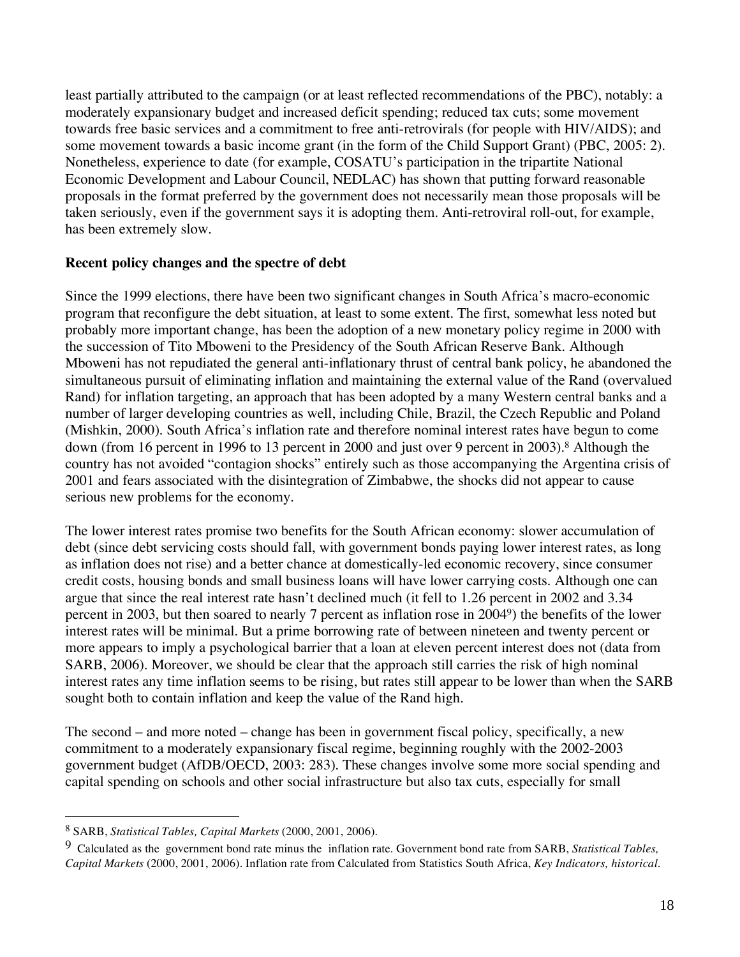least partially attributed to the campaign (or at least reflected recommendations of the PBC), notably: a moderately expansionary budget and increased deficit spending; reduced tax cuts; some movement towards free basic services and a commitment to free anti-retrovirals (for people with HIV/AIDS); and some movement towards a basic income grant (in the form of the Child Support Grant) (PBC, 2005: 2). Nonetheless, experience to date (for example, COSATU's participation in the tripartite National Economic Development and Labour Council, NEDLAC) has shown that putting forward reasonable proposals in the format preferred by the government does not necessarily mean those proposals will be taken seriously, even if the government says it is adopting them. Anti-retroviral roll-out, for example, has been extremely slow.

#### **Recent policy changes and the spectre of debt**

Since the 1999 elections, there have been two significant changes in South Africa's macro-economic program that reconfigure the debt situation, at least to some extent. The first, somewhat less noted but probably more important change, has been the adoption of a new monetary policy regime in 2000 with the succession of Tito Mboweni to the Presidency of the South African Reserve Bank. Although Mboweni has not repudiated the general anti-inflationary thrust of central bank policy, he abandoned the simultaneous pursuit of eliminating inflation and maintaining the external value of the Rand (overvalued Rand) for inflation targeting, an approach that has been adopted by a many Western central banks and a number of larger developing countries as well, including Chile, Brazil, the Czech Republic and Poland (Mishkin, 2000). South Africa's inflation rate and therefore nominal interest rates have begun to come down (from 16 percent in 1996 to 13 percent in 2000 and just over 9 percent in 2003).8 Although the country has not avoided "contagion shocks" entirely such as those accompanying the Argentina crisis of 2001 and fears associated with the disintegration of Zimbabwe, the shocks did not appear to cause serious new problems for the economy.

The lower interest rates promise two benefits for the South African economy: slower accumulation of debt (since debt servicing costs should fall, with government bonds paying lower interest rates, as long as inflation does not rise) and a better chance at domestically-led economic recovery, since consumer credit costs, housing bonds and small business loans will have lower carrying costs. Although one can argue that since the real interest rate hasn't declined much (it fell to 1.26 percent in 2002 and 3.34 percent in 2003, but then soared to nearly 7 percent as inflation rose in 20049) the benefits of the lower interest rates will be minimal. But a prime borrowing rate of between nineteen and twenty percent or more appears to imply a psychological barrier that a loan at eleven percent interest does not (data from SARB, 2006). Moreover, we should be clear that the approach still carries the risk of high nominal interest rates any time inflation seems to be rising, but rates still appear to be lower than when the SARB sought both to contain inflation and keep the value of the Rand high.

The second – and more noted – change has been in government fiscal policy, specifically, a new commitment to a moderately expansionary fiscal regime, beginning roughly with the 2002-2003 government budget (AfDB/OECD, 2003: 283). These changes involve some more social spending and capital spending on schools and other social infrastructure but also tax cuts, especially for small

 $\overline{a}$ 

<sup>8</sup> SARB, *Statistical Tables, Capital Markets* (2000, 2001, 2006).

<sup>9</sup> Calculated as the government bond rate minus the inflation rate. Government bond rate from SARB, *Statistical Tables, Capital Markets* (2000, 2001, 2006). Inflation rate from Calculated from Statistics South Africa, *Key Indicators, historical*.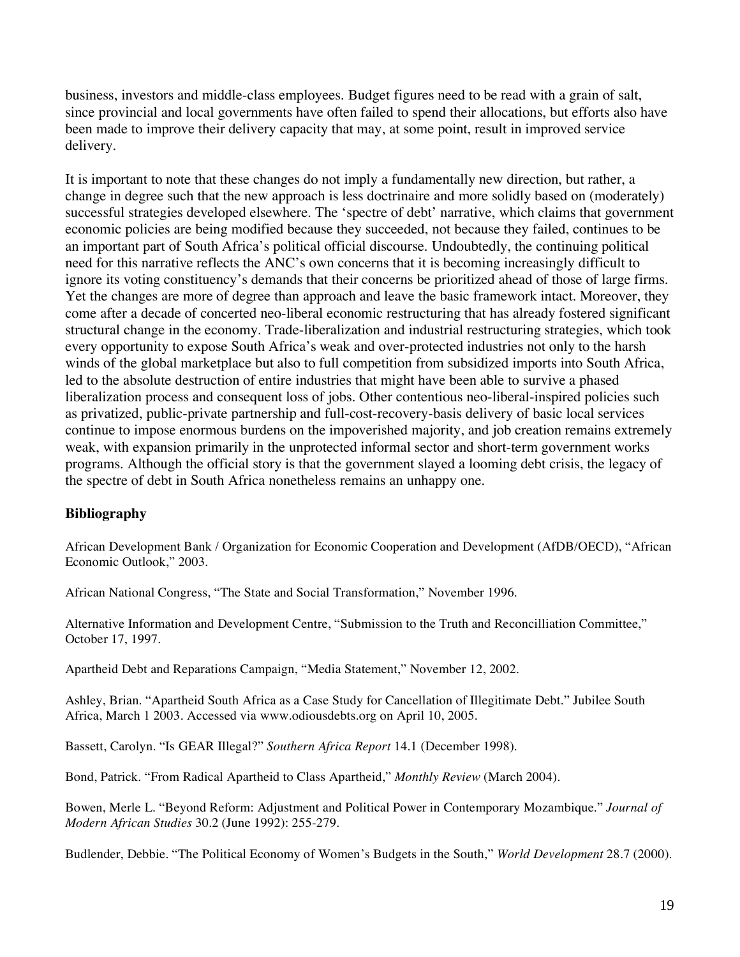business, investors and middle-class employees. Budget figures need to be read with a grain of salt, since provincial and local governments have often failed to spend their allocations, but efforts also have been made to improve their delivery capacity that may, at some point, result in improved service delivery.

It is important to note that these changes do not imply a fundamentally new direction, but rather, a change in degree such that the new approach is less doctrinaire and more solidly based on (moderately) successful strategies developed elsewhere. The 'spectre of debt' narrative, which claims that government economic policies are being modified because they succeeded, not because they failed, continues to be an important part of South Africa's political official discourse. Undoubtedly, the continuing political need for this narrative reflects the ANC's own concerns that it is becoming increasingly difficult to ignore its voting constituency's demands that their concerns be prioritized ahead of those of large firms. Yet the changes are more of degree than approach and leave the basic framework intact. Moreover, they come after a decade of concerted neo-liberal economic restructuring that has already fostered significant structural change in the economy. Trade-liberalization and industrial restructuring strategies, which took every opportunity to expose South Africa's weak and over-protected industries not only to the harsh winds of the global marketplace but also to full competition from subsidized imports into South Africa, led to the absolute destruction of entire industries that might have been able to survive a phased liberalization process and consequent loss of jobs. Other contentious neo-liberal-inspired policies such as privatized, public-private partnership and full-cost-recovery-basis delivery of basic local services continue to impose enormous burdens on the impoverished majority, and job creation remains extremely weak, with expansion primarily in the unprotected informal sector and short-term government works programs. Although the official story is that the government slayed a looming debt crisis, the legacy of the spectre of debt in South Africa nonetheless remains an unhappy one.

#### **Bibliography**

African Development Bank / Organization for Economic Cooperation and Development (AfDB/OECD), "African Economic Outlook," 2003.

African National Congress, "The State and Social Transformation," November 1996.

Alternative Information and Development Centre, "Submission to the Truth and Reconcilliation Committee," October 17, 1997.

Apartheid Debt and Reparations Campaign, "Media Statement," November 12, 2002.

Ashley, Brian. "Apartheid South Africa as a Case Study for Cancellation of Illegitimate Debt." Jubilee South Africa, March 1 2003. Accessed via www.odiousdebts.org on April 10, 2005.

Bassett, Carolyn. "Is GEAR Illegal?" *Southern Africa Report* 14.1 (December 1998).

Bond, Patrick. "From Radical Apartheid to Class Apartheid," *Monthly Review* (March 2004).

Bowen, Merle L. "Beyond Reform: Adjustment and Political Power in Contemporary Mozambique." *Journal of Modern African Studies* 30.2 (June 1992): 255-279.

Budlender, Debbie. "The Political Economy of Women's Budgets in the South," *World Development* 28.7 (2000).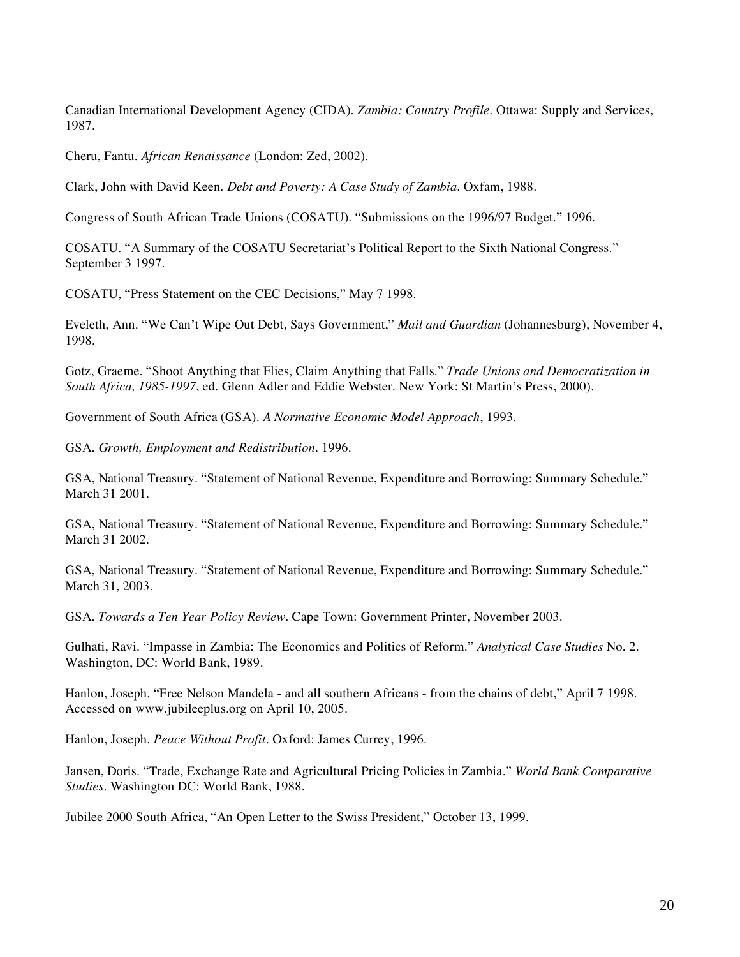Canadian International Development Agency (CIDA). *Zambia: Country Profile*. Ottawa: Supply and Services, 1987.

Cheru, Fantu. *African Renaissance* (London: Zed, 2002).

Clark, John with David Keen. *Debt and Poverty: A Case Study of Zambia*. Oxfam, 1988.

Congress of South African Trade Unions (COSATU). "Submissions on the 1996/97 Budget." 1996.

COSATU. "A Summary of the COSATU Secretariat's Political Report to the Sixth National Congress." September 3 1997.

COSATU, "Press Statement on the CEC Decisions," May 7 1998.

Eveleth, Ann. "We Can't Wipe Out Debt, Says Government," *Mail and Guardian* (Johannesburg), November 4, 1998.

Gotz, Graeme. "Shoot Anything that Flies, Claim Anything that Falls." *Trade Unions and Democratization in South Africa, 1985-1997*, ed. Glenn Adler and Eddie Webster. New York: St Martin's Press, 2000).

Government of South Africa (GSA). *A Normative Economic Model Approach*, 1993.

GSA. *Growth, Employment and Redistribution*. 1996.

GSA, National Treasury. "Statement of National Revenue, Expenditure and Borrowing: Summary Schedule." March 31 2001.

GSA, National Treasury. "Statement of National Revenue, Expenditure and Borrowing: Summary Schedule." March 31 2002.

GSA, National Treasury. "Statement of National Revenue, Expenditure and Borrowing: Summary Schedule." March 31, 2003.

GSA. *Towards a Ten Year Policy Review*. Cape Town: Government Printer, November 2003.

Gulhati, Ravi. "Impasse in Zambia: The Economics and Politics of Reform." *Analytical Case Studies* No. 2. Washington, DC: World Bank, 1989.

Hanlon, Joseph. "Free Nelson Mandela - and all southern Africans - from the chains of debt," April 7 1998. Accessed on www.jubileeplus.org on April 10, 2005.

Hanlon, Joseph. *Peace Without Profit*. Oxford: James Currey, 1996.

Jansen, Doris. "Trade, Exchange Rate and Agricultural Pricing Policies in Zambia." *World Bank Comparative Studies*. Washington DC: World Bank, 1988.

Jubilee 2000 South Africa, "An Open Letter to the Swiss President," October 13, 1999.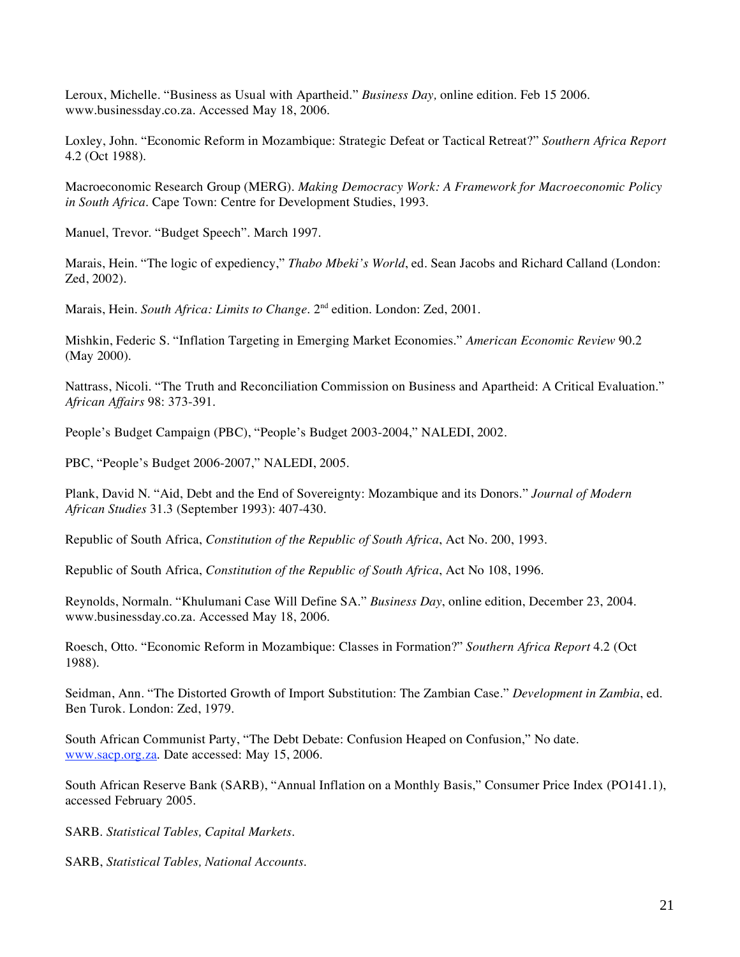Leroux, Michelle. "Business as Usual with Apartheid." *Business Day,* online edition. Feb 15 2006. www.businessday.co.za. Accessed May 18, 2006.

Loxley, John. "Economic Reform in Mozambique: Strategic Defeat or Tactical Retreat?" *Southern Africa Report* 4.2 (Oct 1988).

Macroeconomic Research Group (MERG). *Making Democracy Work: A Framework for Macroeconomic Policy in South Africa*. Cape Town: Centre for Development Studies, 1993.

Manuel, Trevor. "Budget Speech". March 1997.

Marais, Hein. "The logic of expediency," *Thabo Mbeki's World*, ed. Sean Jacobs and Richard Calland (London: Zed, 2002).

Marais, Hein. *South Africa: Limits to Change*. 2<sup>nd</sup> edition. London: Zed, 2001.

Mishkin, Federic S. "Inflation Targeting in Emerging Market Economies." *American Economic Review* 90.2 (May 2000).

Nattrass, Nicoli. "The Truth and Reconciliation Commission on Business and Apartheid: A Critical Evaluation." *African Affairs* 98: 373-391.

People's Budget Campaign (PBC), "People's Budget 2003-2004," NALEDI, 2002.

PBC, "People's Budget 2006-2007," NALEDI, 2005.

Plank, David N. "Aid, Debt and the End of Sovereignty: Mozambique and its Donors." *Journal of Modern African Studies* 31.3 (September 1993): 407-430.

Republic of South Africa, *Constitution of the Republic of South Africa*, Act No. 200, 1993.

Republic of South Africa, *Constitution of the Republic of South Africa*, Act No 108, 1996.

Reynolds, Normaln. "Khulumani Case Will Define SA." *Business Day*, online edition, December 23, 2004. www.businessday.co.za. Accessed May 18, 2006.

Roesch, Otto. "Economic Reform in Mozambique: Classes in Formation?" *Southern Africa Report* 4.2 (Oct 1988).

Seidman, Ann. "The Distorted Growth of Import Substitution: The Zambian Case." *Development in Zambia*, ed. Ben Turok. London: Zed, 1979.

South African Communist Party, "The Debt Debate: Confusion Heaped on Confusion," No date. www.sacp.org.za. Date accessed: May 15, 2006.

South African Reserve Bank (SARB), "Annual Inflation on a Monthly Basis," Consumer Price Index (PO141.1), accessed February 2005.

SARB. *Statistical Tables, Capital Markets*.

SARB, *Statistical Tables, National Accounts*.